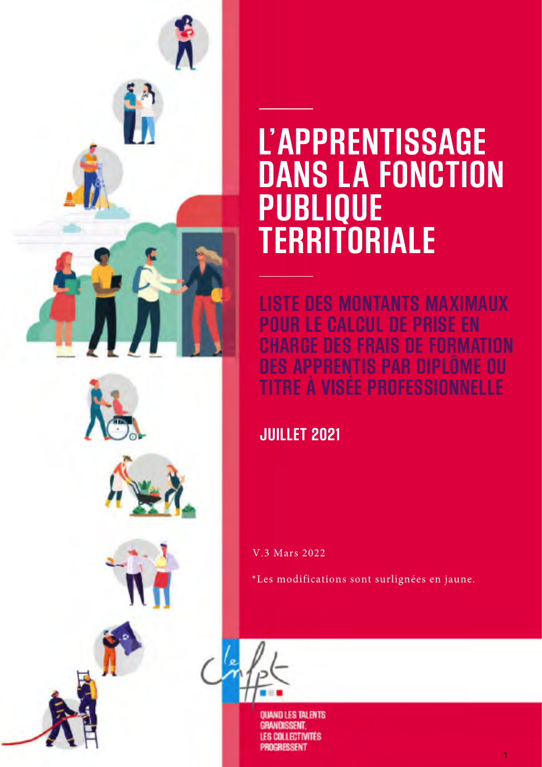

# **L'APPRENTISSAGE DANS LA FONCTION PUBLIQUE TERRITORIALE**

**LISTE DES MONTANTS MAXIMAUX POUR LE CALCUL DE PRISE EN**  F FORMATION **DES APPRENTIS PAR DIPLÔME OU E A VISÉE PROFESSI** 

## **JUILLET 2021**

V.3 Mars 2022

\*Les modifications sont surlignées en jaune.



**QUAND LES TALENTS GRANDISSENT COLLECTIVITES RESSENT**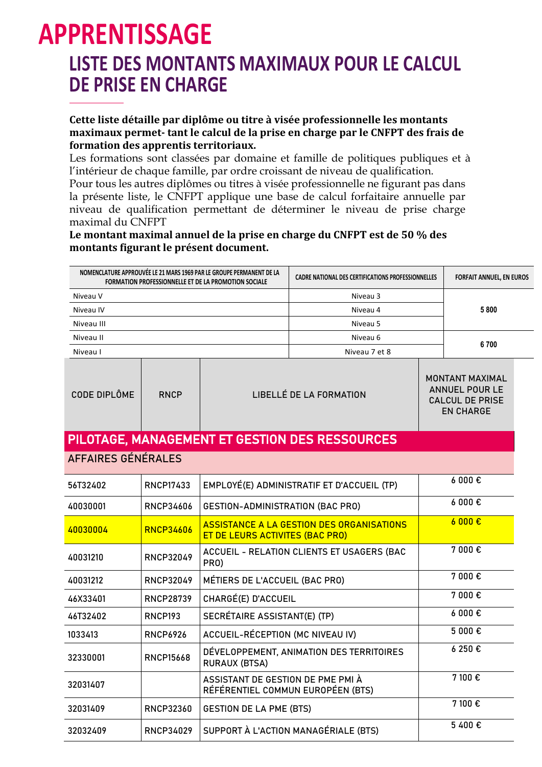# **APPRENTISSAGE LISTE DES MONTANTS MAXIMAUX POUR LE CALCUL DE PRISE EN CHARGE**

**Cette liste détaille par diplôme ou titre à visée professionnelle les montants maximaux permet- tant le calcul de la prise en charge par le CNFPT des frais de formation des apprentis territoriaux.**

Les formations sont classées par domaine et famille de politiques publiques et à l'intérieur de chaque famille, par ordre croissant de niveau de qualification.

Pour tous les autres diplômes ou titres à visée professionnelle ne figurant pas dans la présente liste, le CNFPT applique une base de calcul forfaitaire annuelle par niveau de qualification permettant de déterminer le niveau de prise charge maximal du CNFPT

#### **Le montant maximal annuel de la prise en charge du CNFPT est de 50 % des montants figurant le présent document.**

| NOMENCLATURE APPROUVÉE LE 21 MARS 1969 PAR LE GROUPE PERMANENT DE LA<br>FORMATION PROFESSIONNELLE ET DE LA PROMOTION SOCIALE |                  |                                                                        | <b>CADRE NATIONAL DES CERTIFICATIONS PROFESSIONNELLES</b> |  | <b>FORFAIT ANNUEL, EN EUROS</b>                                                               |
|------------------------------------------------------------------------------------------------------------------------------|------------------|------------------------------------------------------------------------|-----------------------------------------------------------|--|-----------------------------------------------------------------------------------------------|
| Niveau V                                                                                                                     |                  |                                                                        | Niveau 3                                                  |  |                                                                                               |
| Niveau IV                                                                                                                    |                  |                                                                        | Niveau 4                                                  |  | 5800                                                                                          |
| Niveau III                                                                                                                   |                  |                                                                        | Niveau 5                                                  |  |                                                                                               |
| Niveau II                                                                                                                    |                  |                                                                        | Niveau 6                                                  |  | 6700                                                                                          |
| Niveau I                                                                                                                     |                  |                                                                        | Niveau 7 et 8                                             |  |                                                                                               |
| CODE DIPLÔME                                                                                                                 | <b>RNCP</b>      |                                                                        | LIBELLÉ DE LA FORMATION                                   |  | <b>MONTANT MAXIMAL</b><br><b>ANNUEL POUR LE</b><br><b>CALCUL DE PRISE</b><br><b>EN CHARGE</b> |
|                                                                                                                              |                  |                                                                        | PILOTAGE, MANAGEMENT ET GESTION DES RESSOURCES            |  |                                                                                               |
| AFFAIRES GÉNÉRALES                                                                                                           |                  |                                                                        |                                                           |  |                                                                                               |
| 56T32402                                                                                                                     | <b>RNCP17433</b> |                                                                        | EMPLOYÉ(E) ADMINISTRATIF ET D'ACCUEIL (TP)                |  | 6000€                                                                                         |
| 40030001                                                                                                                     | RNCP34606        | <b>GESTION-ADMINISTRATION (BAC PRO)</b>                                |                                                           |  | 6000€                                                                                         |
| 40030004                                                                                                                     | <b>RNCP34606</b> | ET DE LEURS ACTIVITES (BAC PRO)                                        | ASSISTANCE A LA GESTION DES ORGANISATIONS                 |  | $6000$ €                                                                                      |
| 40031210                                                                                                                     | <b>RNCP32049</b> | PRO)                                                                   | ACCUEIL - RELATION CLIENTS ET USAGERS (BAC                |  | 7 000 €                                                                                       |
| 40031212                                                                                                                     | <b>RNCP32049</b> | MÉTIERS DE L'ACCUEIL (BAC PRO)                                         |                                                           |  | 7 000€                                                                                        |
| 46X33401                                                                                                                     | RNCP28739        | CHARGÉ(E) D'ACCUEIL                                                    |                                                           |  | 7 000€                                                                                        |
| 46T32402                                                                                                                     | RNCP193          | SECRÉTAIRE ASSISTANT(E) (TP)                                           |                                                           |  | 6000€                                                                                         |
| 1033413                                                                                                                      | <b>RNCP6926</b>  | ACCUEIL-RÉCEPTION (MC NIVEAU IV)                                       |                                                           |  | 5 000€                                                                                        |
| 32330001                                                                                                                     | <b>RNCP15668</b> | <b>RURAUX (BTSA)</b>                                                   | DÉVELOPPEMENT, ANIMATION DES TERRITOIRES                  |  | 6 250 €                                                                                       |
| 32031407                                                                                                                     |                  | ASSISTANT DE GESTION DE PME PMI À<br>RÉFÉRENTIEL COMMUN EUROPÉEN (BTS) |                                                           |  | 7 100 €                                                                                       |
| 32031409                                                                                                                     | <b>RNCP32360</b> | <b>GESTION DE LA PME (BTS)</b>                                         |                                                           |  | 7 100 €                                                                                       |
| 32032409                                                                                                                     | RNCP34029        |                                                                        | SUPPORT À L'ACTION MANAGÉRIALE (BTS)                      |  | 5400€                                                                                         |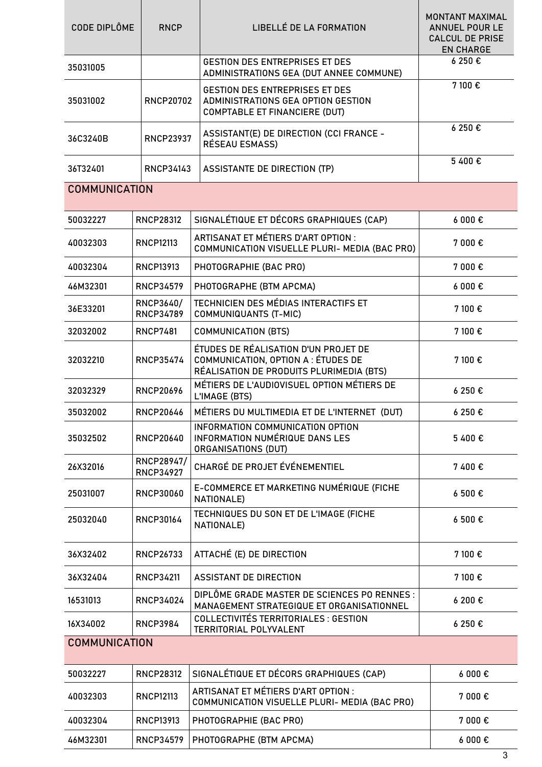| <b>CODE DIPLÔME</b>  | <b>RNCP</b>                          | LIBELLÉ DE LA FORMATION                                                                                                 | <b>MONTANT MAXIMAL</b><br><b>ANNUEL POUR LE</b><br><b>CALCUL DE PRISE</b><br><b>EN CHARGE</b> |  |  |
|----------------------|--------------------------------------|-------------------------------------------------------------------------------------------------------------------------|-----------------------------------------------------------------------------------------------|--|--|
| 35031005             |                                      | <b>GESTION DES ENTREPRISES ET DES</b><br>ADMINISTRATIONS GEA (DUT ANNEE COMMUNE)                                        | 6 250 €                                                                                       |  |  |
| 35031002             | <b>RNCP20702</b>                     | <b>GESTION DES ENTREPRISES ET DES</b><br>ADMINISTRATIONS GEA OPTION GESTION<br><b>COMPTABLE ET FINANCIERE (DUT)</b>     | 7 100€                                                                                        |  |  |
| 36C3240B             | <b>RNCP23937</b>                     | ASSISTANT(E) DE DIRECTION (CCI FRANCE -<br>RÉSEAU ESMASS)                                                               | 6 250 €                                                                                       |  |  |
| 36T32401             | RNCP34143                            | ASSISTANTE DE DIRECTION (TP)                                                                                            | 5400€                                                                                         |  |  |
| <b>COMMUNICATION</b> |                                      |                                                                                                                         |                                                                                               |  |  |
| 50032227             | <b>RNCP28312</b>                     | SIGNALÉTIQUE ET DÉCORS GRAPHIQUES (CAP)                                                                                 | 6000E                                                                                         |  |  |
| 40032303             | <b>RNCP12113</b>                     | ARTISANAT ET MÉTIERS D'ART OPTION :<br>COMMUNICATION VISUELLE PLURI- MEDIA (BAC PRO)                                    | 7 000€                                                                                        |  |  |
| 40032304             | RNCP13913                            | PHOTOGRAPHIE (BAC PRO)                                                                                                  | 7 000€                                                                                        |  |  |
| 46M32301             | <b>RNCP34579</b>                     | PHOTOGRAPHE (BTM APCMA)                                                                                                 | $6000 \text{ } \in$                                                                           |  |  |
| 36E33201             | <b>RNCP3640/</b><br><b>RNCP34789</b> | TECHNICIEN DES MÉDIAS INTERACTIFS ET<br><b>COMMUNIQUANTS (T-MIC)</b>                                                    | 7 100 €                                                                                       |  |  |
| 32032002             | <b>RNCP7481</b>                      | COMMUNICATION (BTS)                                                                                                     | 7 100 €                                                                                       |  |  |
| 32032210             | <b>RNCP35474</b>                     | ÉTUDES DE RÉALISATION D'UN PROJET DE<br>COMMUNICATION, OPTION A : ÉTUDES DE<br>RÉALISATION DE PRODUITS PLURIMEDIA (BTS) | 7 100 €                                                                                       |  |  |
| 32032329             | <b>RNCP20696</b>                     | MÉTIERS DE L'AUDIOVISUEL OPTION MÉTIERS DE<br>L'IMAGE (BTS)                                                             | 6 250 €                                                                                       |  |  |
| 35032002             | <b>RNCP20646</b>                     | MÉTIERS DU MULTIMEDIA ET DE L'INTERNET (DUT)                                                                            | 6 250 €                                                                                       |  |  |
| 35032502             | <b>RNCP20640</b>                     | INFORMATION COMMUNICATION OPTION<br><b>INFORMATION NUMÉRIQUE DANS LES</b><br>ORGANISATIONS (DUT)                        | 5 400€                                                                                        |  |  |
| 26X32016             | RNCP28947/<br><b>RNCP34927</b>       | CHARGÉ DE PROJET ÉVÉNEMENTIEL                                                                                           | 7400€                                                                                         |  |  |
| 25031007             | <b>RNCP30060</b>                     | E-COMMERCE ET MARKETING NUMÉRIQUE (FICHE<br>NATIONALE)                                                                  | 6500E                                                                                         |  |  |
| 25032040             | <b>RNCP30164</b>                     | TECHNIQUES DU SON ET DE L'IMAGE (FICHE<br>NATIONALE)                                                                    | $6500 \text{ } \in$                                                                           |  |  |
| 36X32402             | RNCP26733                            | ATTACHÉ (E) DE DIRECTION                                                                                                | 7 100 €                                                                                       |  |  |
| 36X32404             | <b>RNCP34211</b>                     | <b>ASSISTANT DE DIRECTION</b>                                                                                           | 7 100 €                                                                                       |  |  |
| 16531013             | <b>RNCP34024</b>                     | DIPLÔME GRADE MASTER DE SCIENCES PO RENNES :<br>MANAGEMENT STRATEGIQUE ET ORGANISATIONNEL                               | 6200€                                                                                         |  |  |
| 16X34002             | <b>RNCP3984</b>                      | <b>COLLECTIVITÉS TERRITORIALES : GESTION</b><br><b>TERRITORIAL POLYVALENT</b>                                           | 6250€                                                                                         |  |  |
|                      | <b>COMMUNICATION</b>                 |                                                                                                                         |                                                                                               |  |  |
| 50032227             | <b>RNCP28312</b>                     | SIGNALÉTIQUE ET DÉCORS GRAPHIQUES (CAP)                                                                                 | $6000 \text{ } \in$                                                                           |  |  |
| 40032303             | <b>RNCP12113</b>                     | ARTISANAT ET MÉTIERS D'ART OPTION :<br>COMMUNICATION VISUELLE PLURI- MEDIA (BAC PRO)                                    | 7 000€                                                                                        |  |  |
| 40032304             | RNCP13913                            | PHOTOGRAPHIE (BAC PRO)                                                                                                  | 7 000€                                                                                        |  |  |
| 46M32301             | <b>RNCP34579</b>                     | PHOTOGRAPHE (BTM APCMA)                                                                                                 | $6000 \text{ } \epsilon$                                                                      |  |  |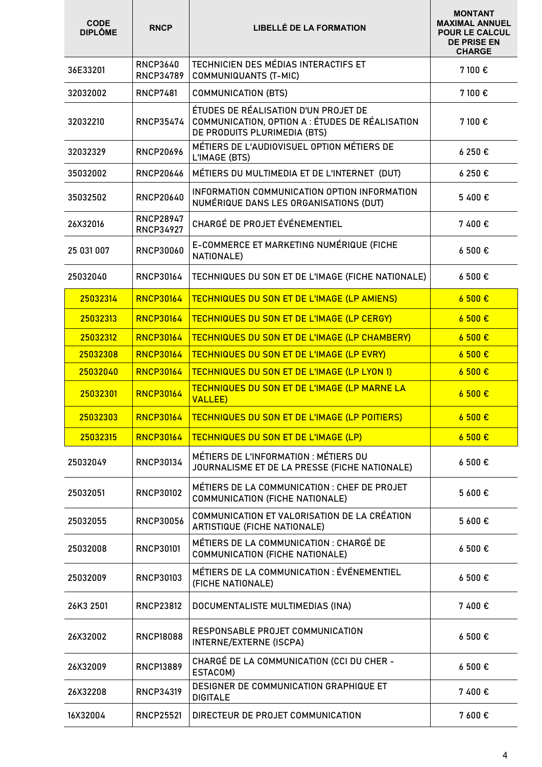| <b>CODE</b><br><b>DIPLÔME</b> | <b>RNCP</b>                          | <b>LIBELLÉ DE LA FORMATION</b>                                                                                          | <b>MONTANT</b><br><b>MAXIMAL ANNUEL</b><br><b>POUR LE CALCUL</b><br><b>DE PRISE EN</b><br><b>CHARGE</b> |
|-------------------------------|--------------------------------------|-------------------------------------------------------------------------------------------------------------------------|---------------------------------------------------------------------------------------------------------|
| 36E33201                      | <b>RNCP3640</b><br><b>RNCP34789</b>  | TECHNICIEN DES MÉDIAS INTERACTIFS ET<br><b>COMMUNIQUANTS (T-MIC)</b>                                                    | 7 100 €                                                                                                 |
| 32032002                      | <b>RNCP7481</b>                      | <b>COMMUNICATION (BTS)</b>                                                                                              | 7 100€                                                                                                  |
| 32032210                      | <b>RNCP35474</b>                     | ÉTUDES DE RÉALISATION D'UN PROJET DE<br>COMMUNICATION, OPTION A : ÉTUDES DE RÉALISATION<br>DE PRODUITS PLURIMEDIA (BTS) | 7 100 €                                                                                                 |
| 32032329                      | <b>RNCP20696</b>                     | MÉTIERS DE L'AUDIOVISUEL OPTION MÉTIERS DE<br>L'IMAGE (BTS)                                                             | 6250€                                                                                                   |
| 35032002                      | <b>RNCP20646</b>                     | MÉTIERS DU MULTIMEDIA ET DE L'INTERNET (DUT)                                                                            | 6 250 €                                                                                                 |
| 35032502                      | <b>RNCP20640</b>                     | INFORMATION COMMUNICATION OPTION INFORMATION<br>NUMÉRIQUE DANS LES ORGANISATIONS (DUT)                                  | 5400€                                                                                                   |
| 26X32016                      | <b>RNCP28947</b><br><b>RNCP34927</b> | CHARGÉ DE PROJET ÉVÉNEMENTIEL                                                                                           | 7400€                                                                                                   |
| 25 031 007                    | <b>RNCP30060</b>                     | E-COMMERCE ET MARKETING NUMÉRIQUE (FICHE<br>NATIONALE)                                                                  | 6500€                                                                                                   |
| 25032040                      | <b>RNCP30164</b>                     | TECHNIQUES DU SON ET DE L'IMAGE (FICHE NATIONALE)                                                                       | 6500E                                                                                                   |
| 25032314                      | <b>RNCP30164</b>                     | <b>TECHNIQUES DU SON ET DE L'IMAGE (LP AMIENS)</b>                                                                      | 6500E                                                                                                   |
| 25032313                      | <b>RNCP30164</b>                     | <b>TECHNIQUES DU SON ET DE L'IMAGE (LP CERGY)</b>                                                                       | 6500€                                                                                                   |
| 25032312                      | <b>RNCP30164</b>                     | <b>TECHNIQUES DU SON ET DE L'IMAGE (LP CHAMBERY)</b>                                                                    | 6500E                                                                                                   |
| 25032308                      | <b>RNCP30164</b>                     | <b>TECHNIQUES DU SON ET DE L'IMAGE (LP EVRY)</b>                                                                        | 6500E                                                                                                   |
| 25032040                      | <b>RNCP30164</b>                     | <b>TECHNIQUES DU SON ET DE L'IMAGE (LP LYON 1)</b>                                                                      | 6500E                                                                                                   |
| 25032301                      | <b>RNCP30164</b>                     | <b>TECHNIQUES DU SON ET DE L'IMAGE (LP MARNE LA</b><br><b>VALLEE)</b>                                                   | 6500E                                                                                                   |
| 25032303                      | <b>RNCP30164</b>                     | <b>TECHNIQUES DU SON ET DE L'IMAGE (LP POITIERS)</b>                                                                    | 6500E                                                                                                   |
| 25032315                      | <b>RNCP30164</b>                     | <b>TECHNIQUES DU SON ET DE L'IMAGE (LP)</b>                                                                             | 6500E                                                                                                   |
| 25032049                      | <b>RNCP30134</b>                     | MÉTIERS DE L'INFORMATION : MÉTIERS DU<br>JOURNALISME ET DE LA PRESSE (FICHE NATIONALE)                                  | 6 500€                                                                                                  |
| 25032051                      | <b>RNCP30102</b>                     | MÉTIERS DE LA COMMUNICATION : CHEF DE PROJET<br>COMMUNICATION (FICHE NATIONALE)                                         | 5 600€                                                                                                  |
| 25032055                      | <b>RNCP30056</b>                     | COMMUNICATION ET VALORISATION DE LA CRÉATION<br>ARTISTIQUE (FICHE NATIONALE)                                            | 5 600€                                                                                                  |
| 25032008                      | <b>RNCP30101</b>                     | MÉTIERS DE LA COMMUNICATION : CHARGÉ DE<br>COMMUNICATION (FICHE NATIONALE)                                              | 6 500€                                                                                                  |
| 25032009                      | <b>RNCP30103</b>                     | MÉTIERS DE LA COMMUNICATION : ÉVÉNEMENTIEL<br>(FICHE NATIONALE)                                                         | 6 500€                                                                                                  |
| 26K3 2501                     | <b>RNCP23812</b>                     | DOCUMENTALISTE MULTIMEDIAS (INA)                                                                                        | 7400€                                                                                                   |
| 26X32002                      | <b>RNCP18088</b>                     | RESPONSABLE PROJET COMMUNICATION<br>INTERNE/EXTERNE (ISCPA)                                                             | 6 500€                                                                                                  |
| 26X32009                      | <b>RNCP13889</b>                     | CHARGÉ DE LA COMMUNICATION (CCI DU CHER -<br>ESTACOM)                                                                   | 6500€                                                                                                   |
| 26X32208                      | <b>RNCP34319</b>                     | DESIGNER DE COMMUNICATION GRAPHIQUE ET<br><b>DIGITALE</b>                                                               | 7 400 €                                                                                                 |
| 16X32004                      | <b>RNCP25521</b>                     | DIRECTEUR DE PROJET COMMUNICATION                                                                                       | 7600€                                                                                                   |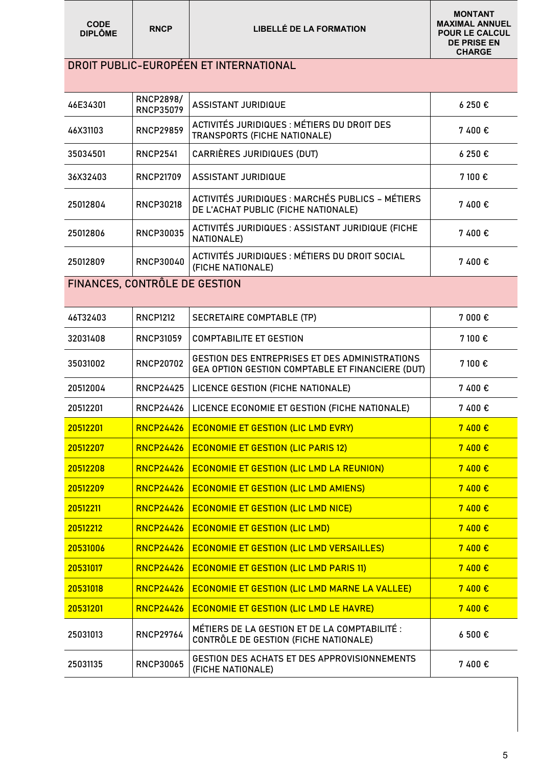| <b>CODE</b><br><b>DIPLÔME</b> | <b>RNCP</b>                          | <b>LIBELLÉ DE LA FORMATION</b>                                                                     | <b>MONTANT</b><br><b>MAXIMAL ANNUEL</b><br><b>POUR LE CALCUL</b><br><b>DE PRISE EN</b><br><b>CHARGE</b> |
|-------------------------------|--------------------------------------|----------------------------------------------------------------------------------------------------|---------------------------------------------------------------------------------------------------------|
|                               |                                      | DROIT PUBLIC-EUROPÉEN ET INTERNATIONAL                                                             |                                                                                                         |
| 46E34301                      | <b>RNCP2898/</b><br><b>RNCP35079</b> | <b>ASSISTANT JURIDIQUE</b>                                                                         | 6250€                                                                                                   |
| 46X31103                      | <b>RNCP29859</b>                     | ACTIVITÉS JURIDIQUES : MÉTIERS DU DROIT DES<br>TRANSPORTS (FICHE NATIONALE)                        | 7400€                                                                                                   |
| 35034501                      | <b>RNCP2541</b>                      | CARRIÈRES JURIDIQUES (DUT)                                                                         | 6250€                                                                                                   |
| 36X32403                      | <b>RNCP21709</b>                     | <b>ASSISTANT JURIDIQUE</b>                                                                         | 7 100 €                                                                                                 |
| 25012804                      | <b>RNCP30218</b>                     | ACTIVITÉS JURIDIQUES : MARCHÉS PUBLICS - MÉTIERS<br>DE L'ACHAT PUBLIC (FICHE NATIONALE)            | 7400€                                                                                                   |
| 25012806                      | <b>RNCP30035</b>                     | ACTIVITÉS JURIDIQUES : ASSISTANT JURIDIQUE (FICHE<br>NATIONALE)                                    | 7400€                                                                                                   |
| 25012809                      | <b>RNCP30040</b>                     | ACTIVITÉS JURIDIQUES : MÉTIERS DU DROIT SOCIAL<br>(FICHE NATIONALE)                                | 7400€                                                                                                   |
| FINANCES, CONTRÔLE DE GESTION |                                      |                                                                                                    |                                                                                                         |
| 46T32403                      | <b>RNCP1212</b>                      | SECRETAIRE COMPTABLE (TP)                                                                          | 7 000 €                                                                                                 |
| 32031408                      | <b>RNCP31059</b>                     | <b>COMPTABILITE ET GESTION</b>                                                                     | 7 100 €                                                                                                 |
| 35031002                      | <b>RNCP20702</b>                     | GESTION DES ENTREPRISES ET DES ADMINISTRATIONS<br>GEA OPTION GESTION COMPTABLE ET FINANCIERE (DUT) | 7 100 €                                                                                                 |
| 20512004                      | <b>RNCP24425</b>                     | LICENCE GESTION (FICHE NATIONALE)                                                                  | 7400€                                                                                                   |
| 20512201                      | <b>RNCP24426</b>                     | LICENCE ECONOMIE ET GESTION (FICHE NATIONALE)                                                      | 7400€                                                                                                   |
| 20512201                      | <b>RNCP24426</b>                     | <b>ECONOMIE ET GESTION (LIC LMD EVRY)</b>                                                          | 7 400€                                                                                                  |
| 20512207                      | <b>RNCP24426</b>                     | <b>ECONOMIE ET GESTION (LIC PARIS 12)</b>                                                          | 7400€                                                                                                   |
| 20512208                      | <b>RNCP24426</b>                     | <b>ECONOMIE ET GESTION (LIC LMD LA REUNION)</b>                                                    | 7400 €                                                                                                  |
| 20512209                      | <b>RNCP24426</b>                     | <b>ECONOMIE ET GESTION (LIC LMD AMIENS)</b>                                                        | 7 400€                                                                                                  |
| 20512211                      | <b>RNCP24426</b>                     | <b>ECONOMIE ET GESTION (LIC LMD NICE)</b>                                                          | 7 400€                                                                                                  |
| 20512212                      | <b>RNCP24426</b>                     | <b>ECONOMIE ET GESTION (LIC LMD)</b>                                                               | 7 400€                                                                                                  |
| 20531006                      | <b>RNCP24426</b>                     | <b>ECONOMIE ET GESTION (LIC LMD VERSAILLES)</b>                                                    | 7 400€                                                                                                  |
| 20531017                      | <b>RNCP24426</b>                     | <b>ECONOMIE ET GESTION (LIC LMD PARIS 11)</b>                                                      | 7400€                                                                                                   |
| 20531018                      | <b>RNCP24426</b>                     | <b>ECONOMIE ET GESTION (LIC LMD MARNE LA VALLEE)</b>                                               | 7400€                                                                                                   |
| 20531201                      | <b>RNCP24426</b>                     | <b>ECONOMIE ET GESTION (LIC LMD LE HAVRE)</b>                                                      | 7 400€                                                                                                  |
| 25031013                      | <b>RNCP29764</b>                     | MÉTIERS DE LA GESTION ET DE LA COMPTABILITÉ :<br>CONTRÔLE DE GESTION (FICHE NATIONALE)             | 6 500€                                                                                                  |
| 25031135                      | <b>RNCP30065</b>                     | GESTION DES ACHATS ET DES APPROVISIONNEMENTS<br>(FICHE NATIONALE)                                  | 7400€                                                                                                   |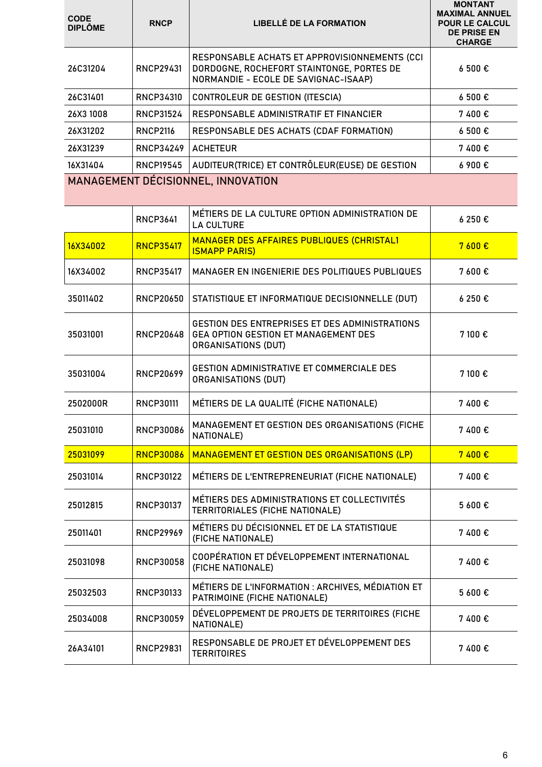| <b>CODE</b><br><b>DIPLÔME</b> | <b>RNCP</b>      | <b>LIBELLÉ DE LA FORMATION</b>                                                                                                     | <b>MONTANT</b><br><b>MAXIMAL ANNUEL</b><br><b>POUR LE CALCUL</b><br><b>DE PRISE EN</b><br><b>CHARGE</b> |
|-------------------------------|------------------|------------------------------------------------------------------------------------------------------------------------------------|---------------------------------------------------------------------------------------------------------|
| 26C31204                      | RNCP29431        | RESPONSABLE ACHATS ET APPROVISIONNEMENTS (CCI<br>DORDOGNE, ROCHEFORT STAINTONGE, PORTES DE<br>NORMANDIE - ECOLE DE SAVIGNAC-ISAAP) | 6 500€                                                                                                  |
| 26C31401                      | <b>RNCP34310</b> | CONTROLEUR DE GESTION (ITESCIA)                                                                                                    | 6 500€                                                                                                  |
| 26X3 1008                     | <b>RNCP31524</b> | RESPONSABLE ADMINISTRATIF ET FINANCIER                                                                                             | 7400€                                                                                                   |
| 26X31202                      | <b>RNCP2116</b>  | RESPONSABLE DES ACHATS (CDAF FORMATION)                                                                                            | 6 500€                                                                                                  |
| 26X31239                      | <b>RNCP34249</b> | <b>ACHETEUR</b>                                                                                                                    | 7400€                                                                                                   |
| 16X31404                      | <b>RNCP19545</b> | AUDITEUR(TRICE) ET CONTRÔLEUR(EUSE) DE GESTION                                                                                     | 6 900 €                                                                                                 |
|                               |                  | MANAGEMENT DÉCISIONNEL, INNOVATION                                                                                                 |                                                                                                         |
|                               | <b>RNCP3641</b>  | MÉTIERS DE LA CULTURE OPTION ADMINISTRATION DE<br><b>LA CULTURE</b>                                                                | 6 250 €                                                                                                 |
| 16X34002                      | <b>RNCP35417</b> | <b>MANAGER DES AFFAIRES PUBLIQUES (CHRISTAL1</b><br><b>ISMAPP PARIS)</b>                                                           | 7600 €                                                                                                  |
| 16X34002                      | <b>RNCP35417</b> | MANAGER EN INGENIERIE DES POLITIQUES PUBLIQUES                                                                                     | 7 600€                                                                                                  |
| 35011402                      | <b>RNCP20650</b> | STATISTIQUE ET INFORMATIQUE DECISIONNELLE (DUT)                                                                                    | 6 250 €                                                                                                 |
| 35031001                      | <b>RNCP20648</b> | GESTION DES ENTREPRISES ET DES ADMINISTRATIONS<br>GEA OPTION GESTION ET MANAGEMENT DES<br>ORGANISATIONS (DUT)                      | 7 100€                                                                                                  |
| 35031004                      | <b>RNCP20699</b> | <b>GESTION ADMINISTRATIVE ET COMMERCIALE DES</b><br>ORGANISATIONS (DUT)                                                            | 7 100€                                                                                                  |
| 2502000R                      | <b>RNCP30111</b> | MÉTIERS DE LA QUALITÉ (FICHE NATIONALE)                                                                                            | 7400€                                                                                                   |
| 25031010                      | <b>RNCP30086</b> | MANAGEMENT ET GESTION DES ORGANISATIONS (FICHE<br>NATIONALE)                                                                       | 7400€                                                                                                   |
| 25031099                      | <b>RNCP30086</b> | <b>MANAGEMENT ET GESTION DES ORGANISATIONS (LP)</b>                                                                                | 7400 €                                                                                                  |
| 25031014                      | <b>RNCP30122</b> | MÉTIERS DE L'ENTREPRENEURIAT (FICHE NATIONALE)                                                                                     | 7400€                                                                                                   |
| 25012815                      | <b>RNCP30137</b> | MÉTIERS DES ADMINISTRATIONS ET COLLECTIVITÉS<br>TERRITORIALES (FICHE NATIONALE)                                                    | 5 600€                                                                                                  |
| 25011401                      | <b>RNCP29969</b> | MÉTIERS DU DÉCISIONNEL ET DE LA STATISTIQUE<br>(FICHE NATIONALE)                                                                   | 7400€                                                                                                   |
| 25031098                      | <b>RNCP30058</b> | COOPÉRATION ET DÉVELOPPEMENT INTERNATIONAL<br>(FICHE NATIONALE)                                                                    | 7400€                                                                                                   |
| 25032503                      | RNCP30133        | MÉTIERS DE L'INFORMATION : ARCHIVES, MÉDIATION ET<br>PATRIMOINE (FICHE NATIONALE)                                                  | 5 600€                                                                                                  |
| 25034008                      | <b>RNCP30059</b> | DÉVELOPPEMENT DE PROJETS DE TERRITOIRES (FICHE<br>NATIONALE)                                                                       | 7400€                                                                                                   |
| 26A34101                      | <b>RNCP29831</b> | RESPONSABLE DE PROJET ET DÉVELOPPEMENT DES<br><b>TERRITOIRES</b>                                                                   | 7400€                                                                                                   |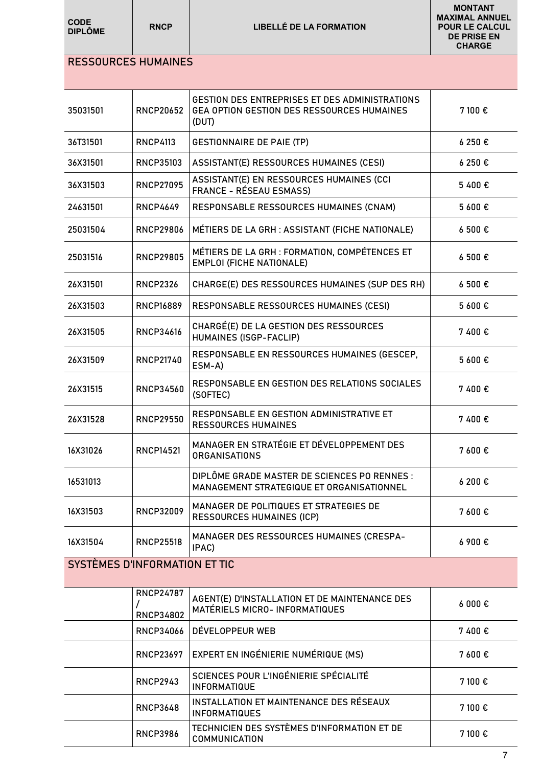| <b>CODE</b><br><b>DIPLÔME</b> | <b>RNCP</b>      | <b>LIBELLÉ DE LA FORMATION</b>                                                                               | <b>MONTANT</b><br><b>MAXIMAL ANNUEL</b><br><b>POUR LE CALCUL</b><br><b>DE PRISE EN</b><br><b>CHARGE</b> |
|-------------------------------|------------------|--------------------------------------------------------------------------------------------------------------|---------------------------------------------------------------------------------------------------------|
| <b>RESSOURCES HUMAINES</b>    |                  |                                                                                                              |                                                                                                         |
|                               |                  |                                                                                                              |                                                                                                         |
| 35031501                      | <b>RNCP20652</b> | <b>GESTION DES ENTREPRISES ET DES ADMINISTRATIONS</b><br>GEA OPTION GESTION DES RESSOURCES HUMAINES<br>(DUT) | 7 100 €                                                                                                 |
| 36T31501                      | <b>RNCP4113</b>  | <b>GESTIONNAIRE DE PAIE (TP)</b>                                                                             | 6250€                                                                                                   |
| 36X31501                      | <b>RNCP35103</b> | ASSISTANT(E) RESSOURCES HUMAINES (CESI)                                                                      | 6250€                                                                                                   |
| 36X31503                      | <b>RNCP27095</b> | ASSISTANT(E) EN RESSOURCES HUMAINES (CCI<br><b>FRANCE - RÉSEAU ESMASS)</b>                                   | 5400€                                                                                                   |
| 24631501                      | <b>RNCP4649</b>  | RESPONSABLE RESSOURCES HUMAINES (CNAM)                                                                       | 5 600€                                                                                                  |
| 25031504                      | <b>RNCP29806</b> | MÉTIERS DE LA GRH : ASSISTANT (FICHE NATIONALE)                                                              | 6500€                                                                                                   |
| 25031516                      | <b>RNCP29805</b> | MÉTIERS DE LA GRH : FORMATION, COMPÉTENCES ET<br><b>EMPLOI (FICHE NATIONALE)</b>                             | 6 500€                                                                                                  |
| 26X31501                      | <b>RNCP2326</b>  | CHARGE(E) DES RESSOURCES HUMAINES (SUP DES RH)                                                               | 6 500€                                                                                                  |
| 26X31503                      | <b>RNCP16889</b> | <b>RESPONSABLE RESSOURCES HUMAINES (CESI)</b>                                                                | 5 600€                                                                                                  |
| 26X31505                      | <b>RNCP34616</b> | CHARGÉ(E) DE LA GESTION DES RESSOURCES<br>HUMAINES (ISGP-FACLIP)                                             | 7400€                                                                                                   |
| 26X31509                      | <b>RNCP21740</b> | RESPONSABLE EN RESSOURCES HUMAINES (GESCEP,<br>ESM-A)                                                        | 5 600€                                                                                                  |
| 26X31515                      | <b>RNCP34560</b> | <b>RESPONSABLE EN GESTION DES RELATIONS SOCIALES</b><br>(SOFTEC)                                             | 7400€                                                                                                   |
| 26X31528                      | <b>RNCP29550</b> | RESPONSABLE EN GESTION ADMINISTRATIVE ET<br><b>RESSOURCES HUMAINES</b>                                       | 7400€                                                                                                   |
| 16X31026                      | <b>RNCP14521</b> | MANAGER EN STRATÉGIE ET DÉVELOPPEMENT DES<br><b>ORGANISATIONS</b>                                            | 7 600€                                                                                                  |
| 16531013                      |                  | DIPLÔME GRADE MASTER DE SCIENCES PO RENNES :<br>MANAGEMENT STRATEGIQUE ET ORGANISATIONNEL                    | 6 200€                                                                                                  |
| 16X31503                      | <b>RNCP32009</b> | MANAGER DE POLITIQUES ET STRATEGIES DE<br><b>RESSOURCES HUMAINES (ICP)</b>                                   | 7600€                                                                                                   |
| 16X31504                      | <b>RNCP25518</b> | MANAGER DES RESSOURCES HUMAINES (CRESPA-<br>IPAC)                                                            | 6 900€                                                                                                  |
| SYSTÈMES D'INFORMATION ET TIC |                  |                                                                                                              |                                                                                                         |
|                               | <b>RNCP24787</b> | AGENT(E) D'INSTALLATION ET DE MAINTENANCE DES                                                                | 6000E                                                                                                   |
|                               | <b>RNCP34802</b> | MATÉRIELS MICRO- INFORMATIQUES                                                                               |                                                                                                         |
|                               | <b>RNCP34066</b> | DÉVELOPPEUR WEB                                                                                              | 7 400 €                                                                                                 |
|                               | <b>RNCP23697</b> | EXPERT EN INGÉNIERIE NUMÉRIQUE (MS)                                                                          | 7600€                                                                                                   |
|                               | <b>RNCP2943</b>  | SCIENCES POUR L'INGÉNIERIE SPÉCIALITÉ<br><b>INFORMATIQUE</b>                                                 | 7 100€                                                                                                  |

RNCP3648 INSTALLATION ET MAINTENANCE DES RÉSEAUX

RNCP3986 TECHNICIEN DES SYSTÈMES D'INFORMATION ET DE

INSTALLATION ET MAINTENANCE DES RESEAUX 7 100 €

TECHNICIEN DES SYSTEMES D'INFORMATION ET DE 7 100 €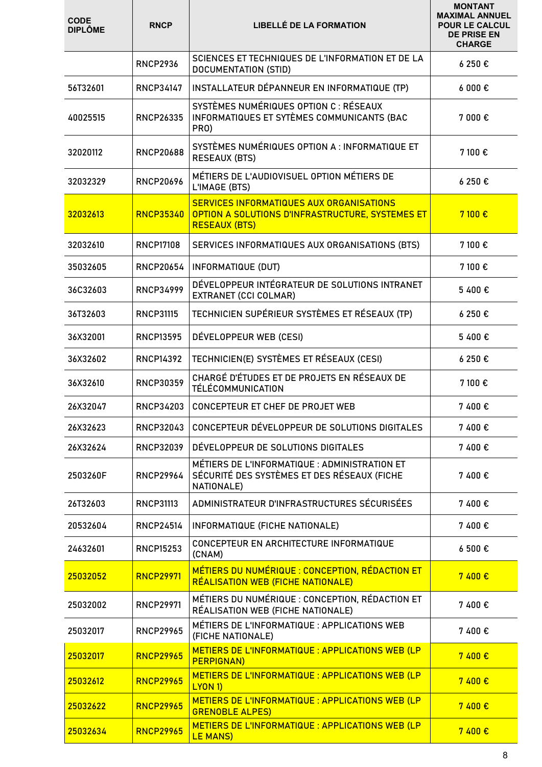| <b>CODE</b><br><b>DIPLÔME</b> | <b>RNCP</b>      | <b>LIBELLÉ DE LA FORMATION</b>                                                                                       | <b>MONTANT</b><br><b>MAXIMAL ANNUEL</b><br><b>POUR LE CALCUL</b><br><b>DE PRISE EN</b><br><b>CHARGE</b> |
|-------------------------------|------------------|----------------------------------------------------------------------------------------------------------------------|---------------------------------------------------------------------------------------------------------|
|                               | <b>RNCP2936</b>  | SCIENCES ET TECHNIQUES DE L'INFORMATION ET DE LA<br>DOCUMENTATION (STID)                                             | 6250€                                                                                                   |
| 56T32601                      | RNCP34147        | INSTALLATEUR DÉPANNEUR EN INFORMATIQUE (TP)                                                                          | 6000E                                                                                                   |
| 40025515                      | <b>RNCP26335</b> | SYSTÈMES NUMÉRIQUES OPTION C : RÉSEAUX<br>INFORMATIQUES ET SYTÈMES COMMUNICANTS (BAC<br>PRO)                         | 7 000 €                                                                                                 |
| 32020112                      | <b>RNCP20688</b> | SYSTÈMES NUMÉRIQUES OPTION A : INFORMATIQUE ET<br><b>RESEAUX (BTS)</b>                                               | 7 100 €                                                                                                 |
| 32032329                      | <b>RNCP20696</b> | MÉTIERS DE L'AUDIOVISUEL OPTION MÉTIERS DE<br>L'IMAGE (BTS)                                                          | 6250€                                                                                                   |
| 32032613                      | <b>RNCP35340</b> | SERVICES INFORMATIQUES AUX ORGANISATIONS<br>OPTION A SOLUTIONS D'INFRASTRUCTURE, SYSTEMES ET<br><b>RESEAUX (BTS)</b> | 7100 €                                                                                                  |
| 32032610                      | <b>RNCP17108</b> | SERVICES INFORMATIQUES AUX ORGANISATIONS (BTS)                                                                       | 7 100€                                                                                                  |
| 35032605                      | <b>RNCP20654</b> | <b>INFORMATIQUE (DUT)</b>                                                                                            | 7 100 €                                                                                                 |
| 36C32603                      | <b>RNCP34999</b> | DÉVELOPPEUR INTÉGRATEUR DE SOLUTIONS INTRANET<br><b>EXTRANET (CCI COLMAR)</b>                                        | 5400€                                                                                                   |
| 36T32603                      | <b>RNCP31115</b> | TECHNICIEN SUPÉRIEUR SYSTÈMES ET RÉSEAUX (TP)                                                                        | 6250€                                                                                                   |
| 36X32001                      | <b>RNCP13595</b> | DÉVELOPPEUR WEB (CESI)                                                                                               | 5400€                                                                                                   |
| 36X32602                      | <b>RNCP14392</b> | TECHNICIEN(E) SYSTÈMES ET RÉSEAUX (CESI)                                                                             | 6250€                                                                                                   |
| 36X32610                      | <b>RNCP30359</b> | CHARGÉ D'ÉTUDES ET DE PROJETS EN RÉSEAUX DE<br>TÉLÉCOMMUNICATION                                                     | 7 100 €                                                                                                 |
| 26X32047                      | <b>RNCP34203</b> | CONCEPTEUR ET CHEF DE PROJET WEB                                                                                     | 7400€                                                                                                   |
| 26X32623                      | <b>RNCP32043</b> | CONCEPTEUR DÉVELOPPEUR DE SOLUTIONS DIGITALES                                                                        | 7400€                                                                                                   |
| 26X32624                      | <b>RNCP32039</b> | DEVELOPPEUR DE SOLUTIONS DIGITALES                                                                                   | 7400€                                                                                                   |
| 2503260F                      | <b>RNCP29964</b> | MÉTIERS DE L'INFORMATIQUE : ADMINISTRATION ET<br>SÉCURITÉ DES SYSTÈMES ET DES RÉSEAUX (FICHE<br>NATIONALE)           | 7400€                                                                                                   |
| 26T32603                      | <b>RNCP31113</b> | ADMINISTRATEUR D'INFRASTRUCTURES SÉCURISÉES                                                                          | 7400€                                                                                                   |
| 20532604                      | <b>RNCP24514</b> | INFORMATIQUE (FICHE NATIONALE)                                                                                       | 7400€                                                                                                   |
| 24632601                      | <b>RNCP15253</b> | CONCEPTEUR EN ARCHITECTURE INFORMATIQUE<br>(CNAM)                                                                    | 6500E                                                                                                   |
| 25032052                      | <b>RNCP29971</b> | MÉTIERS DU NUMÉRIQUE : CONCEPTION, RÉDACTION ET<br>RÉALISATION WEB (FICHE NATIONALE)                                 | 7400 €                                                                                                  |
| 25032002                      | <b>RNCP29971</b> | MÉTIERS DU NUMÉRIQUE : CONCEPTION, RÉDACTION ET<br>RÉALISATION WEB (FICHE NATIONALE)                                 | 7400€                                                                                                   |
| 25032017                      | <b>RNCP29965</b> | MÉTIERS DE L'INFORMATIQUE : APPLICATIONS WEB<br>(FICHE NATIONALE)                                                    | 7400€                                                                                                   |
| 25032017                      | <b>RNCP29965</b> | METIERS DE L'INFORMATIQUE : APPLICATIONS WEB (LP<br><b>PERPIGNAN)</b>                                                | 7400 €                                                                                                  |
| 25032612                      | <b>RNCP29965</b> | METIERS DE L'INFORMATIQUE : APPLICATIONS WEB (LP<br><b>LYON 1)</b>                                                   | 7400 €                                                                                                  |
| 25032622                      | <b>RNCP29965</b> | METIERS DE L'INFORMATIQUE : APPLICATIONS WEB (LP<br><b>GRENOBLE ALPES)</b>                                           | 7400 €                                                                                                  |
| 25032634                      | <b>RNCP29965</b> | METIERS DE L'INFORMATIQUE : APPLICATIONS WEB (LP<br><b>LE MANS)</b>                                                  | 7400 €                                                                                                  |

- 12

-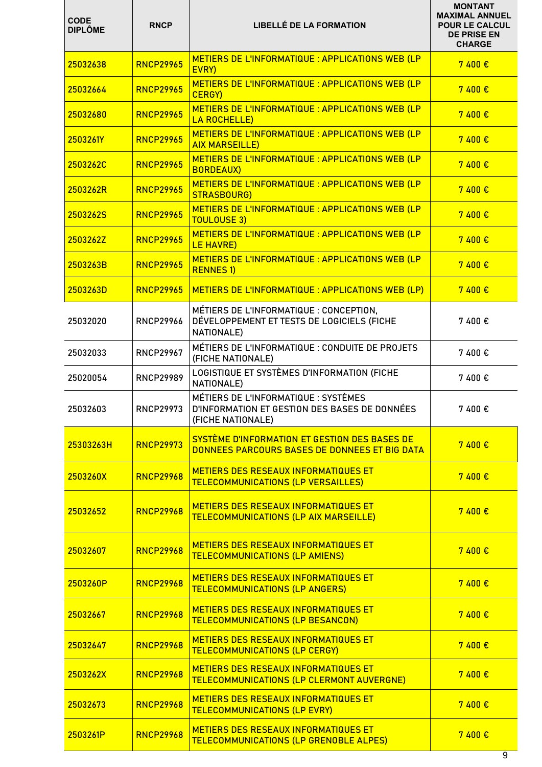| <b>CODE</b><br><b>DIPLÔME</b> | <b>RNCP</b>      | <b>LIBELLÉ DE LA FORMATION</b>                                                                             | <b>MONTANT</b><br><b>MAXIMAL ANNUEL</b><br><b>POUR LE CALCUL</b><br><b>DE PRISE EN</b><br><b>CHARGE</b> |
|-------------------------------|------------------|------------------------------------------------------------------------------------------------------------|---------------------------------------------------------------------------------------------------------|
| 25032638                      | <b>RNCP29965</b> | METIERS DE L'INFORMATIQUE : APPLICATIONS WEB (LP<br>EVRY)                                                  | 7400 €                                                                                                  |
| 25032664                      | <b>RNCP29965</b> | METIERS DE L'INFORMATIQUE : APPLICATIONS WEB (LP<br>CERGY)                                                 | 7400 €                                                                                                  |
| 25032680                      | <b>RNCP29965</b> | METIERS DE L'INFORMATIQUE : APPLICATIONS WEB (LP<br><b>LA ROCHELLE)</b>                                    | 7400 €                                                                                                  |
| 2503261Y                      | <b>RNCP29965</b> | METIERS DE L'INFORMATIQUE : APPLICATIONS WEB (LP<br><b>AIX MARSEILLE)</b>                                  | 7400 €                                                                                                  |
| 2503262C                      | <b>RNCP29965</b> | METIERS DE L'INFORMATIQUE : APPLICATIONS WEB (LP<br><b>BORDEAUX)</b>                                       | 7400€                                                                                                   |
| 2503262R                      | <b>RNCP29965</b> | METIERS DE L'INFORMATIQUE : APPLICATIONS WEB (LP<br><b>STRASBOURG)</b>                                     | 7400 €                                                                                                  |
| 2503262S                      | <b>RNCP29965</b> | METIERS DE L'INFORMATIQUE : APPLICATIONS WEB (LP<br><b>TOULOUSE 3)</b>                                     | 7400 €                                                                                                  |
| 2503262Z                      | <b>RNCP29965</b> | METIERS DE L'INFORMATIQUE : APPLICATIONS WEB (LP<br><b>LE HAVRE)</b>                                       | 7400€                                                                                                   |
| 2503263B                      | <b>RNCP29965</b> | METIERS DE L'INFORMATIQUE : APPLICATIONS WEB (LP<br><b>RENNES 1)</b>                                       | 7400 €                                                                                                  |
| 2503263D                      | <b>RNCP29965</b> | METIERS DE L'INFORMATIQUE : APPLICATIONS WEB (LP)                                                          | 7400 €                                                                                                  |
| 25032020                      | <b>RNCP29966</b> | MÉTIERS DE L'INFORMATIQUE : CONCEPTION,<br>DÉVELOPPEMENT ET TESTS DE LOGICIELS (FICHE<br>NATIONALE)        | 7 400€                                                                                                  |
| 25032033                      | <b>RNCP29967</b> | MÉTIERS DE L'INFORMATIQUE : CONDUITE DE PROJETS<br>(FICHE NATIONALE)                                       | 7400€                                                                                                   |
| 25020054                      | <b>RNCP29989</b> | LOGISTIQUE ET SYSTÈMES D'INFORMATION (FICHE<br>NATIONALE)                                                  | 7400€                                                                                                   |
| 25032603                      | <b>RNCP29973</b> | MÉTIERS DE L'INFORMATIQUE : SYSTÈMES<br>D'INFORMATION ET GESTION DES BASES DE DONNÉES<br>(FICHE NATIONALE) | 7400€                                                                                                   |
| 25303263H                     | <b>RNCP29973</b> | SYSTÈME D'INFORMATION ET GESTION DES BASES DE<br>DONNEES PARCOURS BASES DE DONNEES ET BIG DATA             | 7400€                                                                                                   |
| 2503260X                      | <b>RNCP29968</b> | <b>METIERS DES RESEAUX INFORMATIQUES ET</b><br><b>TELECOMMUNICATIONS (LP VERSAILLES)</b>                   | 7400 €                                                                                                  |
| 25032652                      | <b>RNCP29968</b> | METIERS DES RESEAUX INFORMATIQUES ET<br><b>TELECOMMUNICATIONS (LP AIX MARSEILLE)</b>                       | 7400€                                                                                                   |
| 25032607                      | <b>RNCP29968</b> | METIERS DES RESEAUX INFORMATIQUES ET<br><b>TELECOMMUNICATIONS (LP AMIENS)</b>                              | 7400 €                                                                                                  |
| 2503260P                      | <b>RNCP29968</b> | METIERS DES RESEAUX INFORMATIQUES ET<br><b>TELECOMMUNICATIONS (LP ANGERS)</b>                              | 7400 €                                                                                                  |
| 25032667                      | <b>RNCP29968</b> | <b>METIERS DES RESEAUX INFORMATIQUES ET</b><br><b>TELECOMMUNICATIONS (LP BESANCON)</b>                     | 7400 €                                                                                                  |
| 25032647                      | <b>RNCP29968</b> | METIERS DES RESEAUX INFORMATIQUES ET<br><b>TELECOMMUNICATIONS (LP CERGY)</b>                               | 7400 €                                                                                                  |
| 2503262X                      | <b>RNCP29968</b> | METIERS DES RESEAUX INFORMATIQUES ET<br><b>TELECOMMUNICATIONS (LP CLERMONT AUVERGNE)</b>                   | 7400 €                                                                                                  |
| 25032673                      | <b>RNCP29968</b> | METIERS DES RESEAUX INFORMATIQUES ET<br><b>TELECOMMUNICATIONS (LP EVRY)</b>                                | 7400 €                                                                                                  |
| 2503261P                      | <b>RNCP29968</b> | METIERS DES RESEAUX INFORMATIQUES ET<br><b>TELECOMMUNICATIONS (LP GRENOBLE ALPES)</b>                      | 7400 €                                                                                                  |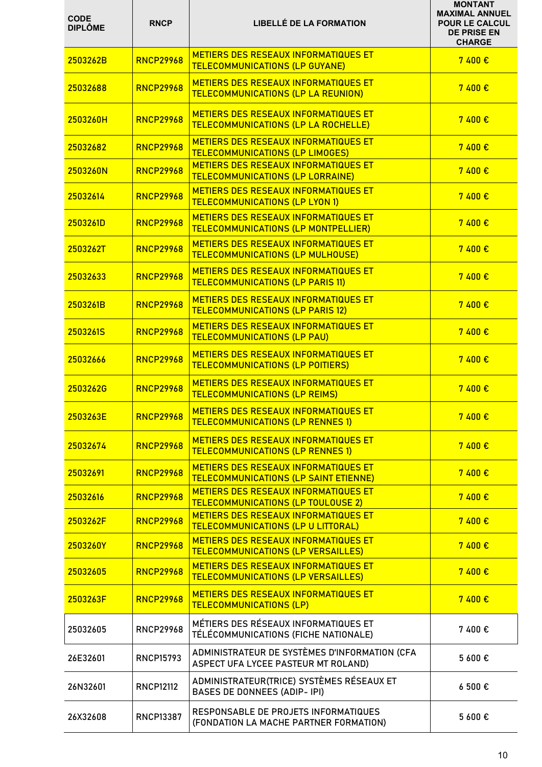| <b>CODE</b><br><b>DIPLÔME</b> | <b>RNCP</b>      | <b>LIBELLÉ DE LA FORMATION</b>                                                              | <b>MONTANT</b><br><b>MAXIMAL ANNUEL</b><br><b>POUR LE CALCUL</b><br><b>DE PRISE EN</b><br><b>CHARGE</b> |
|-------------------------------|------------------|---------------------------------------------------------------------------------------------|---------------------------------------------------------------------------------------------------------|
| 2503262B                      | <b>RNCP29968</b> | <b>METIERS DES RESEAUX INFORMATIQUES ET</b><br><b>TELECOMMUNICATIONS (LP GUYANE)</b>        | 7400€                                                                                                   |
| 25032688                      | <b>RNCP29968</b> | <b>METIERS DES RESEAUX INFORMATIQUES ET</b><br><b>TELECOMMUNICATIONS (LP LA REUNION)</b>    | 7400 €                                                                                                  |
| 2503260H                      | <b>RNCP29968</b> | <b>METIERS DES RESEAUX INFORMATIQUES ET</b><br><b>TELECOMMUNICATIONS (LP LA ROCHELLE)</b>   | 7400 €                                                                                                  |
| 25032682                      | <b>RNCP29968</b> | <b>METIERS DES RESEAUX INFORMATIQUES ET</b><br><b>TELECOMMUNICATIONS (LP LIMOGES)</b>       | 7400 €                                                                                                  |
| 2503260N                      | <b>RNCP29968</b> | <b>METIERS DES RESEAUX INFORMATIQUES ET</b><br><b>TELECOMMUNICATIONS (LP LORRAINE)</b>      | 7400 €                                                                                                  |
| 25032614                      | <b>RNCP29968</b> | <b>METIERS DES RESEAUX INFORMATIQUES ET</b><br><b>TELECOMMUNICATIONS (LP LYON 1)</b>        | 7400 €                                                                                                  |
| 2503261D                      | <b>RNCP29968</b> | <b>METIERS DES RESEAUX INFORMATIQUES ET</b><br>TELECOMMUNICATIONS (LP MONTPELLIER)          | 7400 €                                                                                                  |
| 2503262T                      | <b>RNCP29968</b> | <b>METIERS DES RESEAUX INFORMATIQUES ET</b><br><b>TELECOMMUNICATIONS (LP MULHOUSE)</b>      | 7400 €                                                                                                  |
| 25032633                      | <b>RNCP29968</b> | <b>METIERS DES RESEAUX INFORMATIQUES ET</b><br><b>TELECOMMUNICATIONS (LP PARIS 11)</b>      | 7400€                                                                                                   |
| 2503261B                      | <b>RNCP29968</b> | <b>METIERS DES RESEAUX INFORMATIQUES ET</b><br><b>TELECOMMUNICATIONS (LP PARIS 12)</b>      | 7400 €                                                                                                  |
| 2503261S                      | <b>RNCP29968</b> | <b>METIERS DES RESEAUX INFORMATIQUES ET</b><br><b>TELECOMMUNICATIONS (LP PAU)</b>           | 7400€                                                                                                   |
| 25032666                      | <b>RNCP29968</b> | <b>METIERS DES RESEAUX INFORMATIQUES ET</b><br><b>TELECOMMUNICATIONS (LP POITIERS)</b>      | 7400 €                                                                                                  |
| 2503262G                      | <b>RNCP29968</b> | <b>METIERS DES RESEAUX INFORMATIQUES ET</b><br><b>TELECOMMUNICATIONS (LP REIMS)</b>         | 7400 €                                                                                                  |
| 2503263E                      | <b>RNCP29968</b> | METIERS DES RESEAUX INFORMATIQUES ET<br><b>TELECOMMUNICATIONS (LP RENNES 1)</b>             | 7400 €                                                                                                  |
| 25032674                      | <b>RNCP29968</b> | METIERS DES RESEAUX INFORMATIQUES ET<br><b>TELECOMMUNICATIONS (LP RENNES 1)</b>             | 7400 €                                                                                                  |
| 25032691                      | <b>RNCP29968</b> | <b>METIERS DES RESEAUX INFORMATIQUES ET</b><br><b>TELECOMMUNICATIONS (LP SAINT ETIENNE)</b> | 7400 €                                                                                                  |
| 25032616                      | <b>RNCP29968</b> | METIERS DES RESEAUX INFORMATIQUES ET<br><b>TELECOMMUNICATIONS (LP TOULOUSE 2)</b>           | 7400 €                                                                                                  |
| 2503262F                      | <b>RNCP29968</b> | METIERS DES RESEAUX INFORMATIQUES ET<br><b>TELECOMMUNICATIONS (LP U LITTORAL)</b>           | 7400€                                                                                                   |
| 2503260Y                      | <b>RNCP29968</b> | METIERS DES RESEAUX INFORMATIQUES ET<br><b>TELECOMMUNICATIONS (LP VERSAILLES)</b>           | 7400€                                                                                                   |
| 25032605                      | <b>RNCP29968</b> | METIERS DES RESEAUX INFORMATIQUES ET<br><b>TELECOMMUNICATIONS (LP VERSAILLES)</b>           | 7400 €                                                                                                  |
| 2503263F                      | <b>RNCP29968</b> | METIERS DES RESEAUX INFORMATIQUES ET<br><b>TELECOMMUNICATIONS (LP)</b>                      | 7400 €                                                                                                  |
| 25032605                      | <b>RNCP29968</b> | MÉTIERS DES RÉSEAUX INFORMATIQUES ET<br>TÉLÉCOMMUNICATIONS (FICHE NATIONALE)                | 7400€                                                                                                   |
| 26E32601                      | <b>RNCP15793</b> | ADMINISTRATEUR DE SYSTÈMES D'INFORMATION (CFA<br>ASPECT UFA LYCEE PASTEUR MT ROLAND)        | 5 600€                                                                                                  |
| 26N32601                      | <b>RNCP12112</b> | ADMINISTRATEUR(TRICE) SYSTÈMES RÉSEAUX ET<br><b>BASES DE DONNEES (ADIP-IPI)</b>             | 6 500€                                                                                                  |
| 26X32608                      | <b>RNCP13387</b> | RESPONSABLE DE PROJETS INFORMATIQUES<br>(FONDATION LA MACHE PARTNER FORMATION)              | 5 600€                                                                                                  |

. .

and the state of the state of the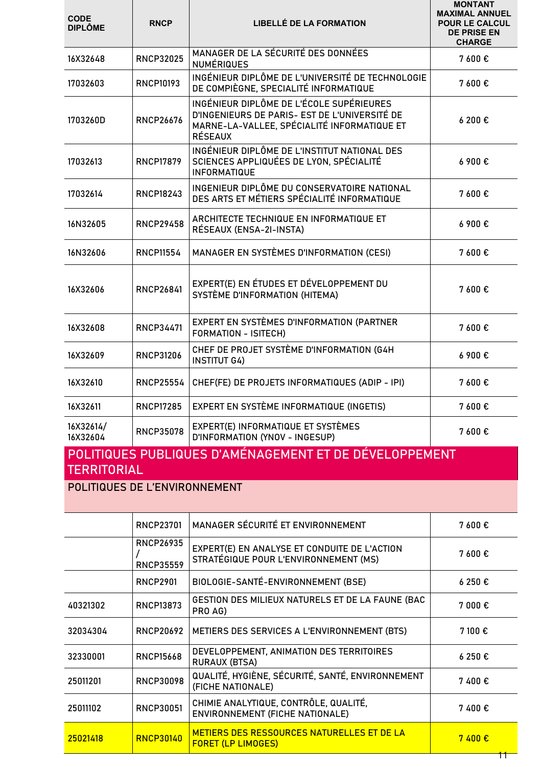| <b>CODE</b><br><b>DIPLÔME</b> | <b>RNCP</b>      | <b>LIBELLÉ DE LA FORMATION</b>                                                                                                                             | <b>MONTANT</b><br><b>MAXIMAL ANNUEL</b><br><b>POUR LE CALCUL</b><br><b>DE PRISE EN</b><br><b>CHARGE</b> |
|-------------------------------|------------------|------------------------------------------------------------------------------------------------------------------------------------------------------------|---------------------------------------------------------------------------------------------------------|
| 16X32648                      | <b>RNCP32025</b> | MANAGER DE LA SÉCURITÉ DES DONNÉES<br><b>NUMÉRIQUES</b>                                                                                                    | 7 600 €                                                                                                 |
| 17032603                      | <b>RNCP10193</b> | INGÉNIEUR DIPLÔME DE L'UNIVERSITÉ DE TECHNOLOGIE<br>DE COMPIÈGNE, SPECIALITÉ INFORMATIQUE                                                                  | 7 600 €                                                                                                 |
| 1703260D                      | <b>RNCP26676</b> | INGÉNIEUR DIPLÔME DE L'ÉCOLE SUPÉRIEURES<br>D'INGENIEURS DE PARIS- EST DE L'UNIVERSITÉ DE<br>MARNE-LA-VALLEE, SPÉCIALITÉ INFORMATIQUE ET<br><b>RÉSEAUX</b> | 6200€                                                                                                   |
| 17032613                      | <b>RNCP17879</b> | INGÉNIEUR DIPLÔME DE L'INSTITUT NATIONAL DES<br>SCIENCES APPLIQUÉES DE LYON, SPÉCIALITÉ<br><b>INFORMATIQUE</b>                                             | 6900€                                                                                                   |
| 17032614                      | <b>RNCP18243</b> | INGENIEUR DIPLÔME DU CONSERVATOIRE NATIONAL<br>DES ARTS ET MÉTIERS SPÉCIALITÉ INFORMATIQUE                                                                 | 7 600 €                                                                                                 |
| 16N32605                      | <b>RNCP29458</b> | ARCHITECTE TECHNIQUE EN INFORMATIQUE ET<br>RÉSEAUX (ENSA-2I-INSTA)                                                                                         | 6 900€                                                                                                  |
| 16N32606                      | <b>RNCP11554</b> | MANAGER EN SYSTÈMES D'INFORMATION (CESI)                                                                                                                   | 7 600€                                                                                                  |
| 16X32606                      | <b>RNCP26841</b> | EXPERT(E) EN ÉTUDES ET DÉVELOPPEMENT DU<br>SYSTÈME D'INFORMATION (HITEMA)                                                                                  | 7 600 €                                                                                                 |
| 16X32608                      | RNCP34471        | EXPERT EN SYSTÈMES D'INFORMATION (PARTNER<br><b>FORMATION - ISITECH)</b>                                                                                   | 7 600€                                                                                                  |
| 16X32609                      | <b>RNCP31206</b> | CHEF DE PROJET SYSTÈME D'INFORMATION (G4H<br><b>INSTITUT G4)</b>                                                                                           | 6 900 €                                                                                                 |
| 16X32610                      | <b>RNCP25554</b> | CHEF(FE) DE PROJETS INFORMATIQUES (ADIP - IPI)                                                                                                             | 7 600€                                                                                                  |
| 16X32611                      | <b>RNCP17285</b> | EXPERT EN SYSTÈME INFORMATIQUE (INGETIS)                                                                                                                   | 7600€                                                                                                   |
| 16X32614/<br>16X32604         | <b>RNCP35078</b> | EXPERT(E) INFORMATIQUE ET SYSTÈMES<br>D'INFORMATION (YNOV - INGESUP)                                                                                       | 7600€                                                                                                   |
|                               |                  | POLITIQUES PUBLIQUES D'AMÉNAGEMENT ET DE DÉVELOPPEMENT                                                                                                     |                                                                                                         |

### TERRITORIAL

POLITIQUES DE L'ENVIRONNEMENT

|          | <b>RNCP23701</b>                     | MANAGER SÉCURITÉ ET ENVIRONNEMENT                                                     | 7600€   |
|----------|--------------------------------------|---------------------------------------------------------------------------------------|---------|
|          | <b>RNCP26935</b><br><b>RNCP35559</b> | EXPERT(E) EN ANALYSE ET CONDUITE DE L'ACTION<br>STRATÉGIQUE POUR L'ENVIRONNEMENT (MS) | 7 600 € |
|          | <b>RNCP2901</b>                      | BIOLOGIE-SANTÉ-ENVIRONNEMENT (BSE)                                                    | 6250€   |
| 40321302 | <b>RNCP13873</b>                     | GESTION DES MILIEUX NATURELS ET DE LA FAUNE (BAC<br>PRO AG)                           | 7 000 € |
| 32034304 | <b>RNCP20692</b>                     | METIERS DES SERVICES A L'ENVIRONNEMENT (BTS)                                          | 7100€   |
| 32330001 | <b>RNCP15668</b>                     | DEVELOPPEMENT, ANIMATION DES TERRITOIRES<br><b>RURAUX (BTSA)</b>                      | 6250€   |
| 25011201 | <b>RNCP30098</b>                     | QUALITÉ, HYGIÈNE, SÉCURITÉ, SANTÉ, ENVIRONNEMENT<br>(FICHE NATIONALE)                 | 7400€   |
| 25011102 | <b>RNCP30051</b>                     | CHIMIE ANALYTIQUE, CONTRÔLE, QUALITÉ,<br><b>ENVIRONNEMENT (FICHE NATIONALE)</b>       | 7400€   |
| 25021418 | <b>RNCP30140</b>                     | METIERS DES RESSOURCES NATURELLES ET DE LA<br><b>FORET (LP LIMOGES)</b>               | 7400€   |
|          |                                      |                                                                                       | H       |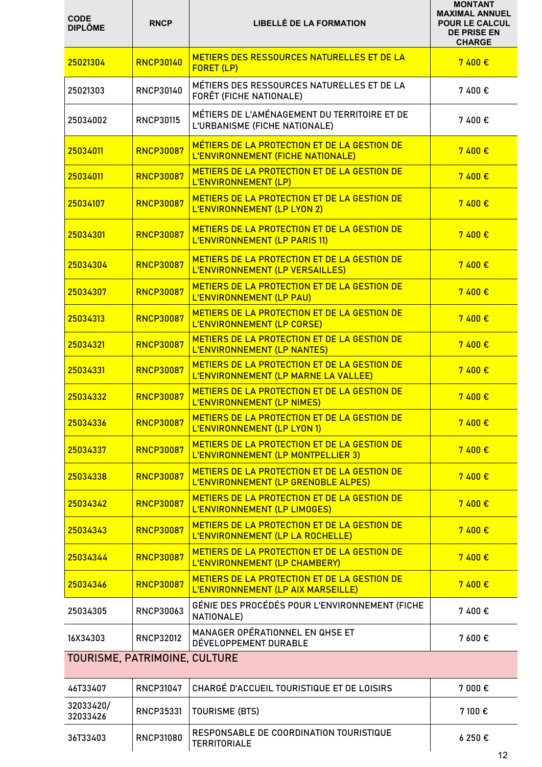| <b>CODE</b><br><b>DIPLÔME</b> | <b>RNCP</b>      | <b>LIBELLÉ DE LA FORMATION</b>                                                       | <b>MONTANT</b><br><b>MAXIMAL ANNUEL</b><br><b>POUR LE CALCUL</b><br><b>DE PRISE EN</b><br><b>CHARGE</b> |
|-------------------------------|------------------|--------------------------------------------------------------------------------------|---------------------------------------------------------------------------------------------------------|
| 25021304                      | <b>RNCP30140</b> | METIERS DES RESSOURCES NATURELLES ET DE LA<br>FORET (LP)                             | 7400 €                                                                                                  |
| 25021303                      | <b>RNCP30140</b> | MÉTIERS DES RESSOURCES NATURELLES ET DE LA<br>FORÊT (FICHE NATIONALE)                | 7400€                                                                                                   |
| 25034002                      | <b>RNCP30115</b> | MÉTIERS DE L'AMÉNAGEMENT DU TERRITOIRE ET DE<br>L'URBANISME (FICHE NATIONALE)        | 7400€                                                                                                   |
| 25034011                      | <b>RNCP30087</b> | MÉTIERS DE LA PROTECTION ET DE LA GESTION DE<br>L'ENVIRONNEMENT (FICHE NATIONALE)    | 7400 €                                                                                                  |
| 25034011                      | <b>RNCP30087</b> | METIERS DE LA PROTECTION ET DE LA GESTION DE<br>L'ENVIRONNEMENT (LP)                 | 7400 €                                                                                                  |
| 25034107                      | <b>RNCP30087</b> | METIERS DE LA PROTECTION ET DE LA GESTION DE<br><b>L'ENVIRONNEMENT (LP LYON 2)</b>   | 7400 €                                                                                                  |
| 25034301                      | <b>RNCP30087</b> | METIERS DE LA PROTECTION ET DE LA GESTION DE<br>L'ENVIRONNEMENT (LP PARIS 11)        | 7400€                                                                                                   |
| 25034304                      | <b>RNCP30087</b> | METIERS DE LA PROTECTION ET DE LA GESTION DE<br>L'ENVIRONNEMENT (LP VERSAILLES)      | 7400€                                                                                                   |
| 25034307                      | <b>RNCP30087</b> | METIERS DE LA PROTECTION ET DE LA GESTION DE<br>L'ENVIRONNEMENT (LP PAU)             | 7400 €                                                                                                  |
| 25034313                      | <b>RNCP30087</b> | METIERS DE LA PROTECTION ET DE LA GESTION DE<br>L'ENVIRONNEMENT (LP CORSE)           | 7400 €                                                                                                  |
| 25034321                      | <b>RNCP30087</b> | METIERS DE LA PROTECTION ET DE LA GESTION DE<br><b>L'ENVIRONNEMENT (LP NANTES)</b>   | 7400€                                                                                                   |
| 25034331                      | <b>RNCP30087</b> | METIERS DE LA PROTECTION ET DE LA GESTION DE<br>L'ENVIRONNEMENT (LP MARNE LA VALLEE) | 7400€                                                                                                   |
| 25034332                      | <b>RNCP30087</b> | METIERS DE LA PROTECTION ET DE LA GESTION DE<br>L'ENVIRONNEMENT (LP NIMES)           | 7400€                                                                                                   |
| 25034336                      | <b>RNCP30087</b> | METIERS DE LA PROTECTION ET DE LA GESTION DE<br>L'ENVIRONNEMENT (LP LYON 1)          | 7400€                                                                                                   |
| 25034337                      | <b>RNCP30087</b> | METIERS DE LA PROTECTION ET DE LA GESTION DE<br>L'ENVIRONNEMENT (LP MONTPELLIER 3)   | 7400 €                                                                                                  |
| 25034338                      | <b>RNCP30087</b> | METIERS DE LA PROTECTION ET DE LA GESTION DE<br>L'ENVIRONNEMENT (LP GRENOBLE ALPES)  | 7400€                                                                                                   |
| 25034342                      | <b>RNCP30087</b> | METIERS DE LA PROTECTION ET DE LA GESTION DE<br>L'ENVIRONNEMENT (LP LIMOGES)         | 7400 €                                                                                                  |
| 25034343                      | <b>RNCP30087</b> | METIERS DE LA PROTECTION ET DE LA GESTION DE<br>L'ENVIRONNEMENT (LP LA ROCHELLE)     | 7400 €                                                                                                  |
| 25034344                      | <b>RNCP30087</b> | METIERS DE LA PROTECTION ET DE LA GESTION DE<br>L'ENVIRONNEMENT (LP CHAMBERY)        | 7400 €                                                                                                  |
| 25034346                      | <b>RNCP30087</b> | METIERS DE LA PROTECTION ET DE LA GESTION DE<br>L'ENVIRONNEMENT (LP AIX MARSEILLE)   | 7400 €                                                                                                  |
| 25034305                      | <b>RNCP30063</b> | GÉNIE DES PROCÉDÉS POUR L'ENVIRONNEMENT (FICHE<br>NATIONALE)                         | 7400€                                                                                                   |
| 16X34303                      | <b>RNCP32012</b> | MANAGER OPÉRATIONNEL EN QHSE ET<br>DÉVELOPPEMENT DURABLE                             | 7 600€                                                                                                  |
| TOURISME, PATRIMOINE, CULTURE |                  |                                                                                      |                                                                                                         |
| 46T33407                      | <b>RNCP31047</b> | CHARGÉ D'ACCUEIL TOURISTIQUE ET DE LOISIRS                                           | 7 000€                                                                                                  |
| 32033420/<br>32033426         | RNCP35331        | <b>TOURISME (BTS)</b>                                                                | 7 100€                                                                                                  |
| 36T33403                      | <b>RNCP31080</b> | RESPONSABLE DE COORDINATION TOURISTIQUE<br><b>TERRITORIALE</b>                       | 6250€                                                                                                   |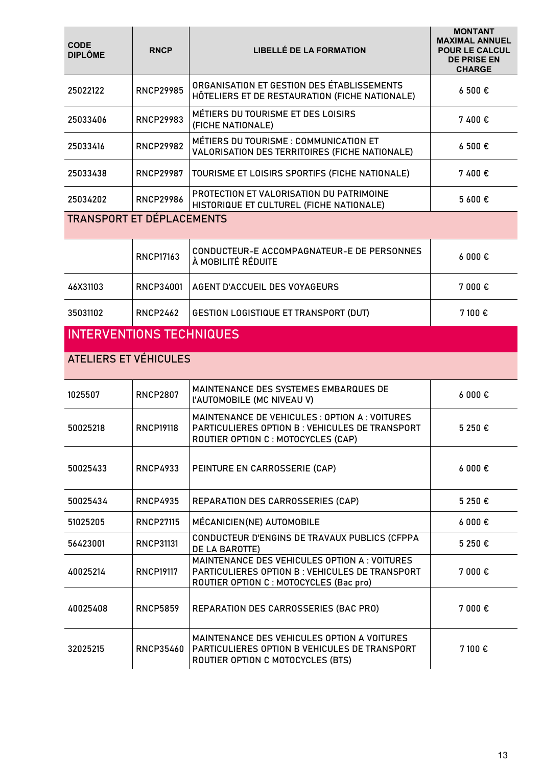| <b>CODE</b><br><b>DIPLÔME</b>    | <b>RNCP</b>      | <b>LIBELLÉ DE LA FORMATION</b>                                                                                                                        | <b>MONTANT</b><br><b>MAXIMAL ANNUEL</b><br><b>POUR LE CALCUL</b><br><b>DE PRISE EN</b><br><b>CHARGE</b> |
|----------------------------------|------------------|-------------------------------------------------------------------------------------------------------------------------------------------------------|---------------------------------------------------------------------------------------------------------|
| 25022122                         | <b>RNCP29985</b> | ORGANISATION ET GESTION DES ÉTABLISSEMENTS<br>HÔTELIERS ET DE RESTAURATION (FICHE NATIONALE)                                                          | 6 500€                                                                                                  |
| 25033406                         | <b>RNCP29983</b> | MÉTIERS DU TOURISME ET DES LOISIRS<br>(FICHE NATIONALE)                                                                                               | 7400€                                                                                                   |
| 25033416                         | <b>RNCP29982</b> | MÉTIERS DU TOURISME : COMMUNICATION ET<br>VALORISATION DES TERRITOIRES (FICHE NATIONALE)                                                              | 6 500€                                                                                                  |
| 25033438                         | <b>RNCP29987</b> | TOURISME ET LOISIRS SPORTIFS (FICHE NATIONALE)                                                                                                        | 7400€                                                                                                   |
| 25034202                         | <b>RNCP29986</b> | PROTECTION ET VALORISATION DU PATRIMOINE<br>HISTORIQUE ET CULTUREL (FICHE NATIONALE)                                                                  | 5 600 €                                                                                                 |
| <b>TRANSPORT ET DÉPLACEMENTS</b> |                  |                                                                                                                                                       |                                                                                                         |
|                                  | <b>RNCP17163</b> | CONDUCTEUR-E ACCOMPAGNATEUR-E DE PERSONNES<br>À MOBILITÉ RÉDUITE                                                                                      | $6000 \text{ } \in$                                                                                     |
| 46X31103                         | RNCP34001        | AGENT D'ACCUEIL DES VOYAGEURS                                                                                                                         | 7 000 €                                                                                                 |
| 35031102                         | <b>RNCP2462</b>  | GESTION LOGISTIQUE ET TRANSPORT (DUT)                                                                                                                 | 7 100€                                                                                                  |
| <b>INTERVENTIONS TECHNIQUES</b>  |                  |                                                                                                                                                       |                                                                                                         |
| <b>ATELIERS ET VÉHICULES</b>     |                  |                                                                                                                                                       |                                                                                                         |
| 1025507                          | <b>RNCP2807</b>  | MAINTENANCE DES SYSTEMES EMBARQUES DE<br><b><i>L'AUTOMOBILE (MC NIVEAU V)</i></b>                                                                     | 6000€                                                                                                   |
| 50025218                         | <b>RNCP19118</b> | <b>MAINTENANCE DE VEHICULES : OPTION A : VOITURES</b><br><b>PARTICULIERES OPTION B: VEHICULES DE TRANSPORT</b><br>ROUTIER OPTION C : MOTOCYCLES (CAP) | 5 250 €                                                                                                 |
| 50025433                         | <b>RNCP4933</b>  | PEINTURE EN CARROSSERIE (CAP)                                                                                                                         | $6000 \text{ } \in$                                                                                     |
| 50025434                         | <b>RNCP4935</b>  | REPARATION DES CARROSSERIES (CAP)                                                                                                                     | 5 250 €                                                                                                 |
| 51025205                         | <b>RNCP27115</b> | MÉCANICIEN(NE) AUTOMOBILE                                                                                                                             | 6000€                                                                                                   |
| 56423001                         | <b>RNCP31131</b> | CONDUCTEUR D'ENGINS DE TRAVAUX PUBLICS (CFPPA<br>DE LA BAROTTE)                                                                                       | 5 250 €                                                                                                 |
| 40025214                         | <b>RNCP19117</b> | MAINTENANCE DES VEHICULES OPTION A : VOITURES<br>PARTICULIERES OPTION B : VEHICULES DE TRANSPORT<br>ROUTIER OPTION C : MOTOCYCLES (Bac pro)           | 7 000€                                                                                                  |
| 40025408                         | <b>RNCP5859</b>  | REPARATION DES CARROSSERIES (BAC PRO)                                                                                                                 | 7 000€                                                                                                  |
| 32025215                         | <b>RNCP35460</b> | MAINTENANCE DES VEHICULES OPTION A VOITURES<br>PARTICULIERES OPTION B VEHICULES DE TRANSPORT<br>ROUTIER OPTION C MOTOCYCLES (BTS)                     | 7 100€                                                                                                  |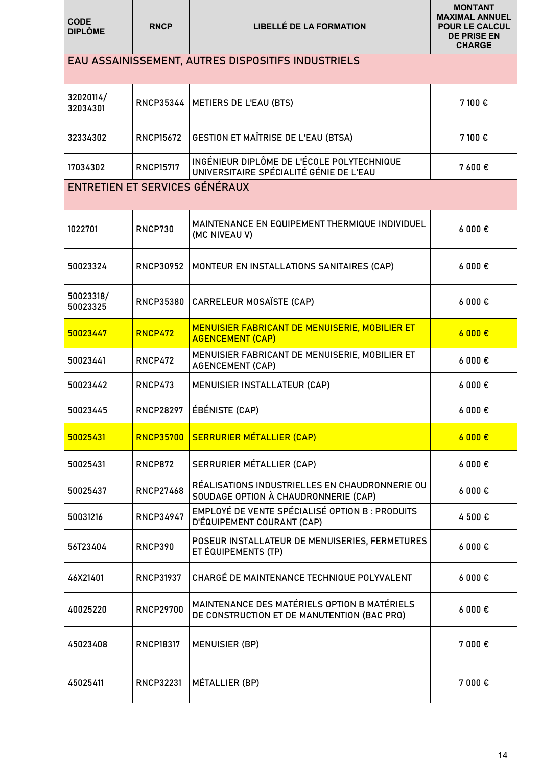| <b>CODE</b><br><b>DIPLÔME</b>  | <b>RNCP</b>      | <b>LIBELLÉ DE LA FORMATION</b>                                                              | <b>MAXIMAL ANNUEL</b><br><b>POUR LE CALCUL</b><br><b>DE PRISE EN</b><br><b>CHARGE</b> |
|--------------------------------|------------------|---------------------------------------------------------------------------------------------|---------------------------------------------------------------------------------------|
|                                |                  | EAU ASSAINISSEMENT, AUTRES DISPOSITIFS INDUSTRIELS                                          |                                                                                       |
| 32020114/<br>32034301          | RNCP35344        | METIERS DE L'EAU (BTS)                                                                      | 7 100 €                                                                               |
| 32334302                       | <b>RNCP15672</b> | GESTION ET MAÎTRISE DE L'EAU (BTSA)                                                         | 7 100 €                                                                               |
| 17034302                       | <b>RNCP15717</b> | INGÉNIEUR DIPLÔME DE L'ÉCOLE POLYTECHNIQUE<br>UNIVERSITAIRE SPÉCIALITÉ GÉNIE DE L'EAU       | 7 600€                                                                                |
| ENTRETIEN ET SERVICES GÉNÉRAUX |                  |                                                                                             |                                                                                       |
| 1022701                        | <b>RNCP730</b>   | MAINTENANCE EN EQUIPEMENT THERMIQUE INDIVIDUEL<br>(MC NIVEAU V)                             | $6000 \text{ } \in$                                                                   |
| 50023324                       | <b>RNCP30952</b> | MONTEUR EN INSTALLATIONS SANITAIRES (CAP)                                                   | $6000 \text{ } \in$                                                                   |
| 50023318/<br>50023325          | <b>RNCP35380</b> | CARRELEUR MOSAÏSTE (CAP)                                                                    | $6000 \text{ } \in$                                                                   |
| 50023447                       | <b>RNCP472</b>   | MENUISIER FABRICANT DE MENUISERIE, MOBILIER ET<br><b>AGENCEMENT (CAP)</b>                   | 6000E                                                                                 |
| 50023441                       | <b>RNCP472</b>   | MENUISIER FABRICANT DE MENUISERIE, MOBILIER ET<br><b>AGENCEMENT (CAP)</b>                   | 6000E                                                                                 |
| 50023442                       | <b>RNCP473</b>   | MENUISIER INSTALLATEUR (CAP)                                                                | $6000 \text{ } \in$                                                                   |
| 50023445                       | <b>RNCP28297</b> | ÉBÉNISTE (CAP)                                                                              | $6000 \text{ } \in$                                                                   |
| 50025431                       | <b>RNCP35700</b> | <b>SERRURIER MÉTALLIER (CAP)</b>                                                            | 6000 €                                                                                |
| 50025431                       | <b>RNCP872</b>   | SERRURIER MÉTALLIER (CAP)                                                                   | $6000 \text{ } \in$                                                                   |
| 50025437                       | <b>RNCP27468</b> | RÉALISATIONS INDUSTRIELLES EN CHAUDRONNERIE OU<br>SOUDAGE OPTION À CHAUDRONNERIE (CAP)      | $6000 \text{ } \in$                                                                   |
| 50031216                       | <b>RNCP34947</b> | EMPLOYÉ DE VENTE SPÉCIALISÉ OPTION B : PRODUITS<br>D'ÉQUIPEMENT COURANT (CAP)               | 4 500 €                                                                               |
| 56T23404                       | RNCP390          | POSEUR INSTALLATEUR DE MENUISERIES, FERMETURES<br>ET ÉQUIPEMENTS (TP)                       | 6000E                                                                                 |
| 46X21401                       | <b>RNCP31937</b> | CHARGÉ DE MAINTENANCE TECHNIQUE POLYVALENT                                                  | 6000E                                                                                 |
| 40025220                       | <b>RNCP29700</b> | MAINTENANCE DES MATÉRIELS OPTION B MATÉRIELS<br>DE CONSTRUCTION ET DE MANUTENTION (BAC PRO) | 6000E                                                                                 |
| 45023408                       | <b>RNCP18317</b> | <b>MENUISIER (BP)</b>                                                                       | 7 000 €                                                                               |
| 45025411                       | <b>RNCP32231</b> | MÉTALLIER (BP)                                                                              | 7 000€                                                                                |

**MONTANT**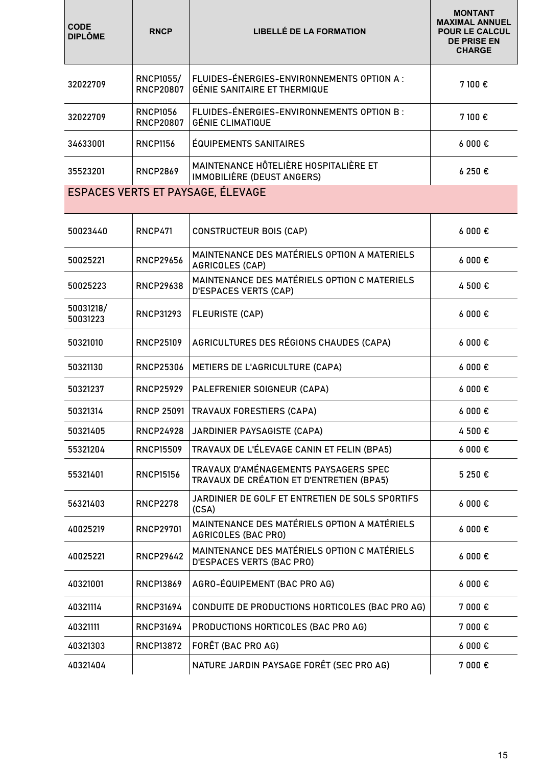| <b>CODE</b><br><b>DIPLÔME</b> | <b>RNCP</b>                          | <b>LIBELLÉ DE LA FORMATION</b>                                                     | <b>MONTANT</b><br><b>MAXIMAL ANNUEL</b><br><b>POUR LE CALCUL</b><br><b>DE PRISE EN</b><br><b>CHARGE</b> |
|-------------------------------|--------------------------------------|------------------------------------------------------------------------------------|---------------------------------------------------------------------------------------------------------|
| 32022709                      | <b>RNCP1055/</b><br><b>RNCP20807</b> | FLUIDES-ÉNERGIES-ENVIRONNEMENTS OPTION A :<br><b>GÉNIE SANITAIRE ET THERMIQUE</b>  | 7 100€                                                                                                  |
| 32022709                      | <b>RNCP1056</b><br><b>RNCP20807</b>  | FLUIDES-ÉNERGIES-ENVIRONNEMENTS OPTION B :<br><b>GÉNIE CLIMATIQUE</b>              | 7 100 €                                                                                                 |
| 34633001                      | <b>RNCP1156</b>                      | <b>ÉQUIPEMENTS SANITAIRES</b>                                                      | $6000 \text{ } \in$                                                                                     |
| 35523201                      | <b>RNCP2869</b>                      | MAINTENANCE HÔTELIÈRE HOSPITALIÈRE ET<br>IMMOBILIÈRE (DEUST ANGERS)                | 6250€                                                                                                   |
|                               |                                      | ESPACES VERTS ET PAYSAGE, ÉLEVAGE                                                  |                                                                                                         |
| 50023440                      | <b>RNCP471</b>                       | <b>CONSTRUCTEUR BOIS (CAP)</b>                                                     | 6000€                                                                                                   |
| 50025221                      | <b>RNCP29656</b>                     | MAINTENANCE DES MATÉRIELS OPTION A MATERIELS<br><b>AGRICOLES (CAP)</b>             | $6000 \text{ } \in$                                                                                     |
| 50025223                      | <b>RNCP29638</b>                     | MAINTENANCE DES MATÉRIELS OPTION C MATERIELS<br><b>D'ESPACES VERTS (CAP)</b>       | 4 500 €                                                                                                 |
| 50031218/<br>50031223         | RNCP31293                            | <b>FLEURISTE (CAP)</b>                                                             | $6000 \text{ } \in$                                                                                     |
| 50321010                      | <b>RNCP25109</b>                     | AGRICULTURES DES RÉGIONS CHAUDES (CAPA)                                            | $6000 \text{ } \in$                                                                                     |
| 50321130                      | <b>RNCP25306</b>                     | METIERS DE L'AGRICULTURE (CAPA)                                                    | $6000 \text{ } \in$                                                                                     |
| 50321237                      | <b>RNCP25929</b>                     | PALEFRENIER SOIGNEUR (CAPA)                                                        | $6000 \text{ } \in$                                                                                     |
| 50321314                      | <b>RNCP 25091</b>                    | TRAVAUX FORESTIERS (CAPA)                                                          | $6000 \text{ } \in$                                                                                     |
| 50321405                      | <b>RNCP24928</b>                     | JARDINIER PAYSAGISTE (CAPA)                                                        | 4 500€                                                                                                  |
| 55321204                      | <b>RNCP15509</b>                     | TRAVAUX DE L'ÉLEVAGE CANIN ET FELIN (BPA5)                                         | $6000 \text{ } \in$                                                                                     |
| 55321401                      | <b>RNCP15156</b>                     | TRAVAUX D'AMÉNAGEMENTS PAYSAGERS SPEC<br>TRAVAUX DE CRÉATION ET D'ENTRETIEN (BPA5) | 5 250 €                                                                                                 |
| 56321403                      | <b>RNCP2278</b>                      | JARDINIER DE GOLF ET ENTRETIEN DE SOLS SPORTIFS<br>(CSA)                           | 6000 €                                                                                                  |
| 40025219                      | <b>RNCP29701</b>                     | MAINTENANCE DES MATÉRIELS OPTION A MATÉRIELS<br><b>AGRICOLES (BAC PRO)</b>         | 6000E                                                                                                   |
| 40025221                      | <b>RNCP29642</b>                     | MAINTENANCE DES MATÉRIELS OPTION C MATÉRIELS<br><b>D'ESPACES VERTS (BAC PRO)</b>   | $6000 \text{ } \in$                                                                                     |
| 40321001                      | <b>RNCP13869</b>                     | AGRO-ÉQUIPEMENT (BAC PRO AG)                                                       | 6000E                                                                                                   |
| 40321114                      | RNCP31694                            | CONDUITE DE PRODUCTIONS HORTICOLES (BAC PRO AG)                                    | 7 000 €                                                                                                 |
| 40321111                      | <b>RNCP31694</b>                     | PRODUCTIONS HORTICOLES (BAC PRO AG)                                                | 7 000€                                                                                                  |
| 40321303                      | <b>RNCP13872</b>                     | FORÊT (BAC PRO AG)                                                                 | $6000 \text{ } \in$                                                                                     |
| 40321404                      |                                      | NATURE JARDIN PAYSAGE FORÊT (SEC PRO AG)                                           | 7 000€                                                                                                  |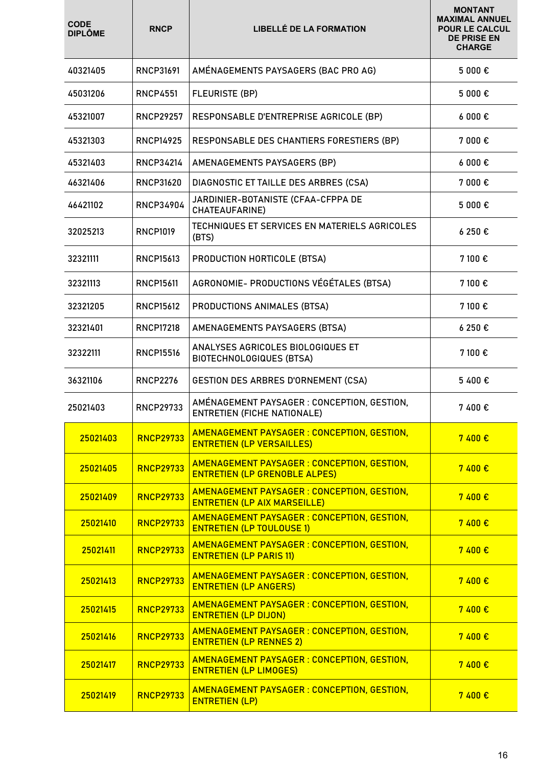| <b>CODE</b><br><b>DIPLÔME</b> | <b>RNCP</b>      | <b>LIBELLÉ DE LA FORMATION</b>                                                      | <b>MONTANT</b><br><b>MAXIMAL ANNUEL</b><br><b>POUR LE CALCUL</b><br><b>DE PRISE EN</b><br><b>CHARGE</b> |
|-------------------------------|------------------|-------------------------------------------------------------------------------------|---------------------------------------------------------------------------------------------------------|
| 40321405                      | RNCP31691        | AMÉNAGEMENTS PAYSAGERS (BAC PRO AG)                                                 | 5 000 €                                                                                                 |
| 45031206                      | <b>RNCP4551</b>  | <b>FLEURISTE (BP)</b>                                                               | 5 000 €                                                                                                 |
| 45321007                      | <b>RNCP29257</b> | RESPONSABLE D'ENTREPRISE AGRICOLE (BP)                                              | 6000E                                                                                                   |
| 45321303                      | <b>RNCP14925</b> | RESPONSABLE DES CHANTIERS FORESTIERS (BP)                                           | 7 000 €                                                                                                 |
| 45321403                      | RNCP34214        | AMENAGEMENTS PAYSAGERS (BP)                                                         | 6000€                                                                                                   |
| 46321406                      | <b>RNCP31620</b> | DIAGNOSTIC ET TAILLE DES ARBRES (CSA)                                               | 7 000 €                                                                                                 |
| 46421102                      | <b>RNCP34904</b> | JARDINIER-BOTANISTE (CFAA-CFPPA DE<br><b>CHATEAUFARINE)</b>                         | 5 000 €                                                                                                 |
| 32025213                      | <b>RNCP1019</b>  | TECHNIQUES ET SERVICES EN MATERIELS AGRICOLES<br>(BTS)                              | 6250€                                                                                                   |
| 32321111                      | <b>RNCP15613</b> | PRODUCTION HORTICOLE (BTSA)                                                         | 7 100 €                                                                                                 |
| 32321113                      | <b>RNCP15611</b> | AGRONOMIE- PRODUCTIONS VÉGÉTALES (BTSA)                                             | 7 100 €                                                                                                 |
| 32321205                      | <b>RNCP15612</b> | PRODUCTIONS ANIMALES (BTSA)                                                         | 7 100€                                                                                                  |
| 32321401                      | <b>RNCP17218</b> | AMENAGEMENTS PAYSAGERS (BTSA)                                                       | 6 250 €                                                                                                 |
| 32322111                      | <b>RNCP15516</b> | ANALYSES AGRICOLES BIOLOGIQUES ET<br><b>BIOTECHNOLOGIQUES (BTSA)</b>                | 7 100 €                                                                                                 |
| 36321106                      | <b>RNCP2276</b>  | <b>GESTION DES ARBRES D'ORNEMENT (CSA)</b>                                          | 5400€                                                                                                   |
| 25021403                      | <b>RNCP29733</b> | AMÉNAGEMENT PAYSAGER : CONCEPTION, GESTION,<br><b>ENTRETIEN (FICHE NATIONALE)</b>   | 7400€                                                                                                   |
| 25021403                      | <b>RNCP29733</b> | AMENAGEMENT PAYSAGER : CONCEPTION, GESTION,<br><b>ENTRETIEN (LP VERSAILLES)</b>     | 7400 €                                                                                                  |
| 25021405                      | <b>RNCP29733</b> | AMENAGEMENT PAYSAGER : CONCEPTION, GESTION,<br><b>ENTRETIEN (LP GRENOBLE ALPES)</b> | 7400 €                                                                                                  |
| 25021409                      | <b>RNCP29733</b> | AMENAGEMENT PAYSAGER : CONCEPTION, GESTION,<br><b>ENTRETIEN (LP AIX MARSEILLE)</b>  | 7400 €                                                                                                  |
| 25021410                      | <b>RNCP29733</b> | AMENAGEMENT PAYSAGER : CONCEPTION, GESTION,<br><b>ENTRETIEN (LP TOULOUSE 1)</b>     | 7 400€                                                                                                  |
| 25021411                      | <b>RNCP29733</b> | AMENAGEMENT PAYSAGER : CONCEPTION, GESTION,<br><b>ENTRETIEN (LP PARIS 11)</b>       | 7400 €                                                                                                  |
| 25021413                      | <b>RNCP29733</b> | AMENAGEMENT PAYSAGER : CONCEPTION, GESTION,<br><b>ENTRETIEN (LP ANGERS)</b>         | 7400 €                                                                                                  |
| 25021415                      | <b>RNCP29733</b> | <b>AMENAGEMENT PAYSAGER: CONCEPTION, GESTION,</b><br><b>ENTRETIEN (LP DIJON)</b>    | 7400 €                                                                                                  |
| 25021416                      | <b>RNCP29733</b> | AMENAGEMENT PAYSAGER : CONCEPTION, GESTION,<br><b>ENTRETIEN (LP RENNES 2)</b>       | 7400 €                                                                                                  |
| 25021417                      | <b>RNCP29733</b> | <b>AMENAGEMENT PAYSAGER: CONCEPTION, GESTION,</b><br><b>ENTRETIEN (LP LIMOGES)</b>  | 7400 €                                                                                                  |
| 25021419                      | <b>RNCP29733</b> | AMENAGEMENT PAYSAGER : CONCEPTION, GESTION,<br><b>ENTRETIEN (LP)</b>                | 7400 €                                                                                                  |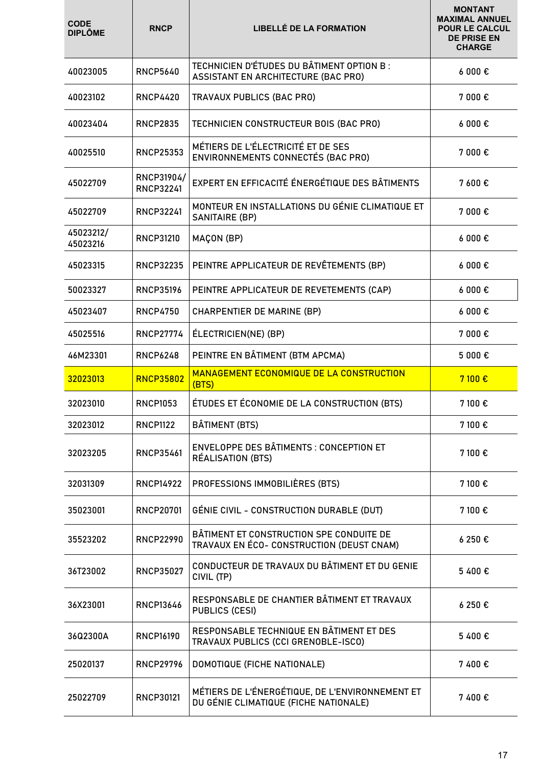| <b>CODE</b><br><b>DIPLÔME</b> | <b>RNCP</b>                    | <b>LIBELLÉ DE LA FORMATION</b>                                                           | <b>MONTANT</b><br><b>MAXIMAL ANNUEL</b><br><b>POUR LE CALCUL</b><br><b>DE PRISE EN</b><br><b>CHARGE</b> |
|-------------------------------|--------------------------------|------------------------------------------------------------------------------------------|---------------------------------------------------------------------------------------------------------|
| 40023005                      | <b>RNCP5640</b>                | TECHNICIEN D'ÉTUDES DU BÂTIMENT OPTION B :<br><b>ASSISTANT EN ARCHITECTURE (BAC PRO)</b> | 6000E                                                                                                   |
| 40023102                      | <b>RNCP4420</b>                | TRAVAUX PUBLICS (BAC PRO)                                                                | 7 000 €                                                                                                 |
| 40023404                      | <b>RNCP2835</b>                | TECHNICIEN CONSTRUCTEUR BOIS (BAC PRO)                                                   | 6000€                                                                                                   |
| 40025510                      | <b>RNCP25353</b>               | MÉTIERS DE L'ÉLECTRICITÉ ET DE SES<br>ENVIRONNEMENTS CONNECTÉS (BAC PRO)                 | 7000 $\epsilon$                                                                                         |
| 45022709                      | RNCP31904/<br><b>RNCP32241</b> | EXPERT EN EFFICACITÉ ÉNERGÉTIQUE DES BÂTIMENTS                                           | 7 600€                                                                                                  |
| 45022709                      | <b>RNCP32241</b>               | MONTEUR EN INSTALLATIONS DU GÉNIE CLIMATIQUE ET<br><b>SANITAIRE (BP)</b>                 | 7 000 €                                                                                                 |
| 45023212/<br>45023216         | <b>RNCP31210</b>               | MAÇON (BP)                                                                               | 6000E                                                                                                   |
| 45023315                      | <b>RNCP32235</b>               | PEINTRE APPLICATEUR DE REVÊTEMENTS (BP)                                                  | 6000E                                                                                                   |
| 50023327                      | <b>RNCP35196</b>               | PEINTRE APPLICATEUR DE REVETEMENTS (CAP)                                                 | 6000E                                                                                                   |
| 45023407                      | <b>RNCP4750</b>                | <b>CHARPENTIER DE MARINE (BP)</b>                                                        | 6000E                                                                                                   |
| 45025516                      | <b>RNCP27774</b>               | ÉLECTRICIEN(NE) (BP)                                                                     | 7 000€                                                                                                  |
| 46M23301                      | <b>RNCP6248</b>                | PEINTRE EN BÂTIMENT (BTM APCMA)                                                          | 5 000 €                                                                                                 |
|                               |                                |                                                                                          |                                                                                                         |
| 32023013                      | <b>RNCP35802</b>               | <b>MANAGEMENT ECONOMIQUE DE LA CONSTRUCTION</b><br>(BTS)                                 | 7 100€                                                                                                  |
| 32023010                      | <b>RNCP1053</b>                | ÉTUDES ET ÉCONOMIE DE LA CONSTRUCTION (BTS)                                              | 7 100 €                                                                                                 |
| 32023012                      | <b>RNCP1122</b>                | BÂTIMENT (BTS)                                                                           | 7 100 €                                                                                                 |
| 32023205                      | <b>RNCP35461</b>               | <b>ENVELOPPE DES BÂTIMENTS : CONCEPTION ET</b><br>RÉALISATION (BTS)                      | 7 100 €                                                                                                 |
| 32031309                      | <b>RNCP14922</b>               | PROFESSIONS IMMOBILIÈRES (BTS)                                                           | 7 100 €                                                                                                 |
| 35023001                      | <b>RNCP20701</b>               | GÉNIE CIVIL - CONSTRUCTION DURABLE (DUT)                                                 | 7 100 €                                                                                                 |
| 35523202                      | <b>RNCP22990</b>               | BÂTIMENT ET CONSTRUCTION SPE CONDUITE DE<br>TRAVAUX EN ÉCO- CONSTRUCTION (DEUST CNAM)    | 6 250 €                                                                                                 |
| 36T23002                      | <b>RNCP35027</b>               | CONDUCTEUR DE TRAVAUX DU BÂTIMENT ET DU GENIE<br>CIVIL (TP)                              | 5 400 €                                                                                                 |
| 36X23001                      | <b>RNCP13646</b>               | RESPONSABLE DE CHANTIER BÂTIMENT ET TRAVAUX<br><b>PUBLICS (CESI)</b>                     | 6 250 €                                                                                                 |
| 36Q2300A                      | <b>RNCP16190</b>               | RESPONSABLE TECHNIQUE EN BÂTIMENT ET DES<br>TRAVAUX PUBLICS (CCI GRENOBLE-ISCO)          | 5 400€                                                                                                  |
| 25020137                      | <b>RNCP29796</b>               | DOMOTIQUE (FICHE NATIONALE)                                                              | 7400€                                                                                                   |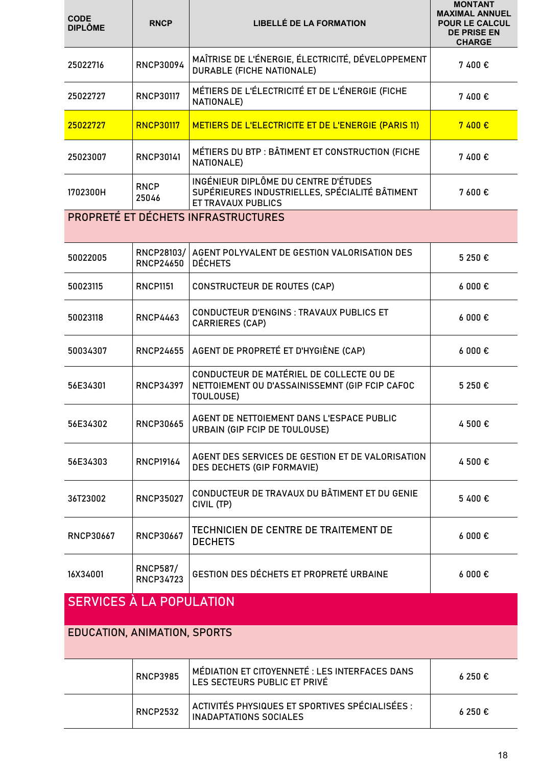| <b>CODE</b><br><b>DIPLÔME</b>   | <b>RNCP</b>                         | <b>LIBELLÉ DE LA FORMATION</b>                                                                                      | <b>MONTANT</b><br><b>MAXIMAL ANNUEL</b><br><b>POUR LE CALCUL</b><br><b>DE PRISE EN</b><br><b>CHARGE</b> |
|---------------------------------|-------------------------------------|---------------------------------------------------------------------------------------------------------------------|---------------------------------------------------------------------------------------------------------|
| 25022716                        | <b>RNCP30094</b>                    | MAÎTRISE DE L'ÉNERGIE, ÉLECTRICITÉ, DÉVELOPPEMENT<br><b>DURABLE (FICHE NATIONALE)</b>                               | 7400€                                                                                                   |
| 25022727                        | <b>RNCP30117</b>                    | MÉTIERS DE L'ÉLECTRICITÉ ET DE L'ÉNERGIE (FICHE<br>NATIONALE)                                                       | 7400€                                                                                                   |
| 25022727                        | <b>RNCP30117</b>                    | METIERS DE L'ELECTRICITE ET DE L'ENERGIE (PARIS 11)                                                                 | 7400 €                                                                                                  |
| 25023007                        | <b>RNCP30141</b>                    | MÉTIERS DU BTP : BÂTIMENT ET CONSTRUCTION (FICHE<br>NATIONALE)                                                      | 7400€                                                                                                   |
| 1702300H                        | <b>RNCP</b><br>25046                | INGÉNIEUR DIPLÔME DU CENTRE D'ÉTUDES<br>SUPÉRIEURES INDUSTRIELLES, SPÉCIALITÉ BÂTIMENT<br><b>ET TRAVAUX PUBLICS</b> | 7600€                                                                                                   |
|                                 |                                     | PROPRETÉ ET DÉCHETS INFRASTRUCTURES                                                                                 |                                                                                                         |
|                                 |                                     |                                                                                                                     |                                                                                                         |
| 50022005                        | RNCP28103/<br><b>RNCP24650</b>      | AGENT POLYVALENT DE GESTION VALORISATION DES<br><b>DÉCHETS</b>                                                      | 5 250 €                                                                                                 |
| 50023115                        | <b>RNCP1151</b>                     | <b>CONSTRUCTEUR DE ROUTES (CAP)</b>                                                                                 | 6000 €                                                                                                  |
| 50023118                        | <b>RNCP4463</b>                     | <b>CONDUCTEUR D'ENGINS : TRAVAUX PUBLICS ET</b><br><b>CARRIERES (CAP)</b>                                           | $6000 \text{ } \in$                                                                                     |
| 50034307                        | <b>RNCP24655</b>                    | AGENT DE PROPRETÉ ET D'HYGIÈNE (CAP)                                                                                | 6000€                                                                                                   |
| 56E34301                        | <b>RNCP34397</b>                    | CONDUCTEUR DE MATÉRIEL DE COLLECTE OU DE<br>NETTOIEMENT OU D'ASSAINISSEMNT (GIP FCIP CAFOC<br>TOULOUSE)             | 5 250 €                                                                                                 |
| 56E34302                        | <b>RNCP30665</b>                    | AGENT DE NETTOIEMENT DANS L'ESPACE PUBLIC<br>URBAIN (GIP FCIP DE TOULOUSE)                                          | 4 500 €                                                                                                 |
| 56E34303                        | <b>RNCP19164</b>                    | AGENT DES SERVICES DE GESTION ET DE VALORISATION<br>DES DECHETS (GIP FORMAVIE)                                      | 4 500 €                                                                                                 |
| 36T23002                        | <b>RNCP35027</b>                    | CONDUCTEUR DE TRAVAUX DU BÂTIMENT ET DU GENIE<br>CIVIL (TP)                                                         | 5400€                                                                                                   |
| <b>RNCP30667</b>                | <b>RNCP30667</b>                    | TECHNICIEN DE CENTRE DE TRAITEMENT DE<br><b>DECHETS</b>                                                             | $6000 \text{ } \in$                                                                                     |
| 16X34001                        | <b>RNCP587/</b><br><b>RNCP34723</b> | GESTION DES DÉCHETS ET PROPRETÉ URBAINE                                                                             | $6000 \text{ } \in$                                                                                     |
| <b>SERVICES À LA POPULATION</b> |                                     |                                                                                                                     |                                                                                                         |
| EDUCATION, ANIMATION, SPORTS    |                                     |                                                                                                                     |                                                                                                         |
|                                 | <b>RNCP3985</b>                     | MÉDIATION ET CITOYENNETÉ : LES INTERFACES DANS<br>LES SECTEURS PUBLIC ET PRIVÉ                                      | 6 250 €                                                                                                 |
|                                 | <b>RNCP2532</b>                     | ACTIVITÉS PHYSIQUES ET SPORTIVES SPÉCIALISÉES :<br><b>INADAPTATIONS SOCIALES</b>                                    | 6250€                                                                                                   |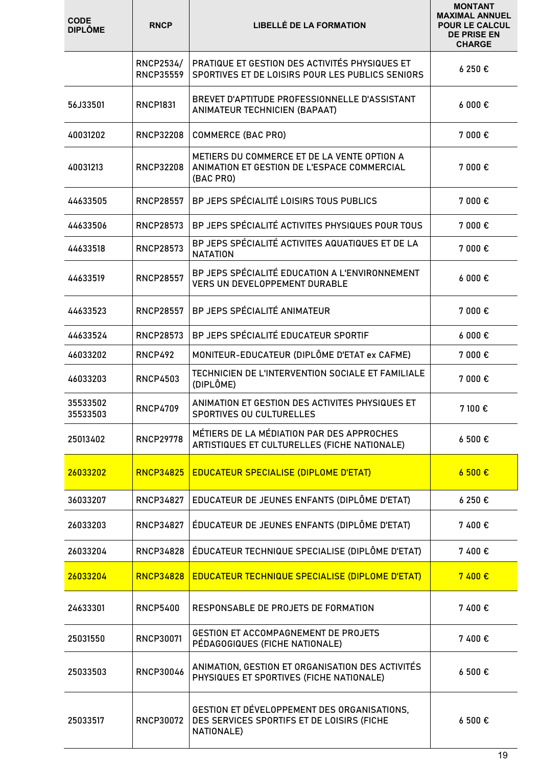| <b>CODE</b><br><b>DIPLÔME</b> | <b>RNCP</b>                          | <b>LIBELLÉ DE LA FORMATION</b>                                                                          | <b>MONTANT</b><br><b>MAXIMAL ANNUEL</b><br><b>POUR LE CALCUL</b><br><b>DE PRISE EN</b><br><b>CHARGE</b> |
|-------------------------------|--------------------------------------|---------------------------------------------------------------------------------------------------------|---------------------------------------------------------------------------------------------------------|
|                               | <b>RNCP2534/</b><br><b>RNCP35559</b> | PRATIQUE ET GESTION DES ACTIVITÉS PHYSIQUES ET<br>SPORTIVES ET DE LOISIRS POUR LES PUBLICS SENIORS      | 6 250 €                                                                                                 |
| 56J33501                      | <b>RNCP1831</b>                      | BREVET D'APTITUDE PROFESSIONNELLE D'ASSISTANT<br><b>ANIMATEUR TECHNICIEN (BAPAAT)</b>                   | 6000€                                                                                                   |
| 40031202                      | <b>RNCP32208</b>                     | <b>COMMERCE (BAC PRO)</b>                                                                               | 7 000€                                                                                                  |
| 40031213                      | <b>RNCP32208</b>                     | METIERS DU COMMERCE ET DE LA VENTE OPTION A<br>ANIMATION ET GESTION DE L'ESPACE COMMERCIAL<br>(BAC PRO) | 7 000€                                                                                                  |
| 44633505                      | <b>RNCP28557</b>                     | BP JEPS SPÉCIALITÉ LOISIRS TOUS PUBLICS                                                                 | 7 000 €                                                                                                 |
| 44633506                      | <b>RNCP28573</b>                     | BP JEPS SPÉCIALITÉ ACTIVITES PHYSIQUES POUR TOUS                                                        | 7 000 €                                                                                                 |
| 44633518                      | <b>RNCP28573</b>                     | BP JEPS SPÉCIALITÉ ACTIVITES AQUATIQUES ET DE LA<br><b>NATATION</b>                                     | 7 000 €                                                                                                 |
| 44633519                      | <b>RNCP28557</b>                     | BP JEPS SPÉCIALITÉ EDUCATION A L'ENVIRONNEMENT<br><b>VERS UN DEVELOPPEMENT DURABLE</b>                  | 6000€                                                                                                   |
| 44633523                      | <b>RNCP28557</b>                     | BP JEPS SPÉCIALITÉ ANIMATEUR                                                                            | 7000 $\epsilon$                                                                                         |
| 44633524                      | <b>RNCP28573</b>                     | BP JEPS SPÉCIALITÉ EDUCATEUR SPORTIF                                                                    | 6000 €                                                                                                  |
| 46033202                      | <b>RNCP492</b>                       | MONITEUR-EDUCATEUR (DIPLÔME D'ETAT ex CAFME)                                                            | 7 000€                                                                                                  |
| 46033203                      | <b>RNCP4503</b>                      | TECHNICIEN DE L'INTERVENTION SOCIALE ET FAMILIALE<br>(DIPLÔME)                                          | 7 000€                                                                                                  |
| 35533502<br>35533503          | <b>RNCP4709</b>                      | ANIMATION ET GESTION DES ACTIVITES PHYSIQUES ET<br>SPORTIVES OU CULTURELLES                             | 7 100€                                                                                                  |
| 25013402                      | <b>RNCP29778</b>                     | MÉTIERS DE LA MÉDIATION PAR DES APPROCHES<br>ARTISTIQUES ET CULTURELLES (FICHE NATIONALE)               | 6 500€                                                                                                  |
| 26033202                      | <b>RNCP34825</b>                     | <b>EDUCATEUR SPECIALISE (DIPLOME D'ETAT)</b>                                                            | 6500E                                                                                                   |
| 36033207                      | <b>RNCP34827</b>                     | EDUCATEUR DE JEUNES ENFANTS (DIPLÔME D'ETAT)                                                            | 6 250 €                                                                                                 |
| 26033203                      | <b>RNCP34827</b>                     | ÉDUCATEUR DE JEUNES ENFANTS (DIPLÔME D'ETAT)                                                            | 7400€                                                                                                   |
| 26033204                      | RNCP34828                            | ÉDUCATEUR TECHNIQUE SPECIALISE (DIPLÔME D'ETAT)                                                         | 7400€                                                                                                   |
| 26033204                      | <b>RNCP34828</b>                     | <b>EDUCATEUR TECHNIQUE SPECIALISE (DIPLOME D'ETAT)</b>                                                  | 7400 €                                                                                                  |
| 24633301                      | <b>RNCP5400</b>                      | RESPONSABLE DE PROJETS DE FORMATION                                                                     | 7400€                                                                                                   |
| 25031550                      | <b>RNCP30071</b>                     | GESTION ET ACCOMPAGNEMENT DE PROJETS<br>PÉDAGOGIQUES (FICHE NATIONALE)                                  | 7400€                                                                                                   |
| 25033503                      | <b>RNCP30046</b>                     | ANIMATION, GESTION ET ORGANISATION DES ACTIVITÉS<br>PHYSIQUES ET SPORTIVES (FICHE NATIONALE)            | 6 500€                                                                                                  |
| 25033517                      | <b>RNCP30072</b>                     | GESTION ET DÉVELOPPEMENT DES ORGANISATIONS,<br>DES SERVICES SPORTIFS ET DE LOISIRS (FICHE<br>NATIONALE) | 6 500€                                                                                                  |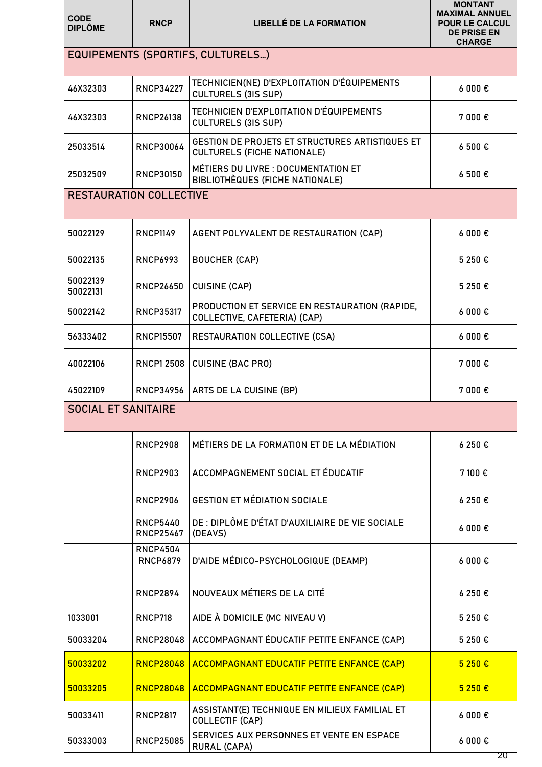| <b>CODE</b><br><b>DIPLÔME</b>  | <b>RNCP</b>                         | <b>LIBELLÉ DE LA FORMATION</b>                                                 | <b>MONTANT</b><br><b>MAXIMAL ANNUEL</b><br><b>POUR LE CALCUL</b><br><b>DE PRISE EN</b><br><b>CHARGE</b> |
|--------------------------------|-------------------------------------|--------------------------------------------------------------------------------|---------------------------------------------------------------------------------------------------------|
|                                |                                     | <b>EQUIPEMENTS (SPORTIFS, CULTURELS)</b>                                       |                                                                                                         |
| 46X32303                       | <b>RNCP34227</b>                    | TECHNICIEN(NE) D'EXPLOITATION D'ÉQUIPEMENTS<br><b>CULTURELS (3IS SUP)</b>      | $6000 \text{ } \in$                                                                                     |
| 46X32303                       | <b>RNCP26138</b>                    | <b>TECHNICIEN D'EXPLOITATION D'ÉQUIPEMENTS</b><br><b>CULTURELS (3IS SUP)</b>   | 7 000 €                                                                                                 |
| 25033514                       | <b>RNCP30064</b>                    | GESTION DE PROJETS ET STRUCTURES ARTISTIQUES ET<br>CULTURELS (FICHE NATIONALE) | 6500€                                                                                                   |
| 25032509                       | <b>RNCP30150</b>                    | MÉTIERS DU LIVRE : DOCUMENTATION ET<br>BIBLIOTHÈQUES (FICHE NATIONALE)         | 6 500€                                                                                                  |
| <b>RESTAURATION COLLECTIVE</b> |                                     |                                                                                |                                                                                                         |
| 50022129                       | <b>RNCP1149</b>                     | AGENT POLYVALENT DE RESTAURATION (CAP)                                         | 6000E                                                                                                   |
| 50022135                       | RNCP6993                            | <b>BOUCHER (CAP)</b>                                                           | 5 250 €                                                                                                 |
| 50022139<br>50022131           | <b>RNCP26650</b>                    | <b>CUISINE (CAP)</b>                                                           | 5 250 €                                                                                                 |
| 50022142                       | <b>RNCP35317</b>                    | PRODUCTION ET SERVICE EN RESTAURATION (RAPIDE,<br>COLLECTIVE, CAFETERIA) (CAP) | $6000 \text{ } \in$                                                                                     |
| 56333402                       | <b>RNCP15507</b>                    | RESTAURATION COLLECTIVE (CSA)                                                  | $6000 \text{ } \in$                                                                                     |
| 40022106                       | <b>RNCP1 2508</b>                   | <b>CUISINE (BAC PRO)</b>                                                       | 7 000€                                                                                                  |
| 45022109                       | <b>RNCP34956</b>                    | ARTS DE LA CUISINE (BP)                                                        | 7 000€                                                                                                  |
| <b>SOCIAL ET SANITAIRE</b>     |                                     |                                                                                |                                                                                                         |
|                                | <b>RNCP2908</b>                     | MÉTIERS DE LA FORMATION ET DE LA MÉDIATION                                     | 6250€                                                                                                   |
|                                | <b>RNCP2903</b>                     | ACCOMPAGNEMENT SOCIAL ET ÉDUCATIF                                              | 7 100 €                                                                                                 |
|                                | <b>RNCP2906</b>                     | <b>GESTION ET MÉDIATION SOCIALE</b>                                            | 6250€                                                                                                   |
|                                | <b>RNCP5440</b><br><b>RNCP25467</b> | DE : DIPLÔME D'ÉTAT D'AUXILIAIRE DE VIE SOCIALE<br>(DEAVS)                     | $6000 \text{ } \in$                                                                                     |
|                                | <b>RNCP4504</b><br><b>RNCP6879</b>  | D'AIDE MÉDICO-PSYCHOLOGIQUE (DEAMP)                                            | $6000 \text{ } \in$                                                                                     |
|                                | <b>RNCP2894</b>                     | NOUVEAUX MÉTIERS DE LA CITÉ                                                    | 6250€                                                                                                   |
| 1033001                        | RNCP718                             | AIDE À DOMICILE (MC NIVEAU V)                                                  | 5 250 €                                                                                                 |
| 50033204                       | <b>RNCP28048</b>                    | ACCOMPAGNANT ÉDUCATIF PETITE ENFANCE (CAP)                                     | 5 250 €                                                                                                 |
| 50033202                       | <b>RNCP28048</b>                    | <b>ACCOMPAGNANT EDUCATIF PETITE ENFANCE (CAP)</b>                              | 5 250 €                                                                                                 |
| 50033205                       | <b>RNCP28048</b>                    | ACCOMPAGNANT EDUCATIF PETITE ENFANCE (CAP)                                     | 5 250 €                                                                                                 |
| 50033411                       | <b>RNCP2817</b>                     | ASSISTANT(E) TECHNIQUE EN MILIEUX FAMILIAL ET<br>COLLECTIF (CAP)               | $6000 \text{ } \in$                                                                                     |
| 50333003                       | <b>RNCP25085</b>                    | SERVICES AUX PERSONNES ET VENTE EN ESPACE<br><b>RURAL (CAPA)</b>               | $6000 \text{ } \in$                                                                                     |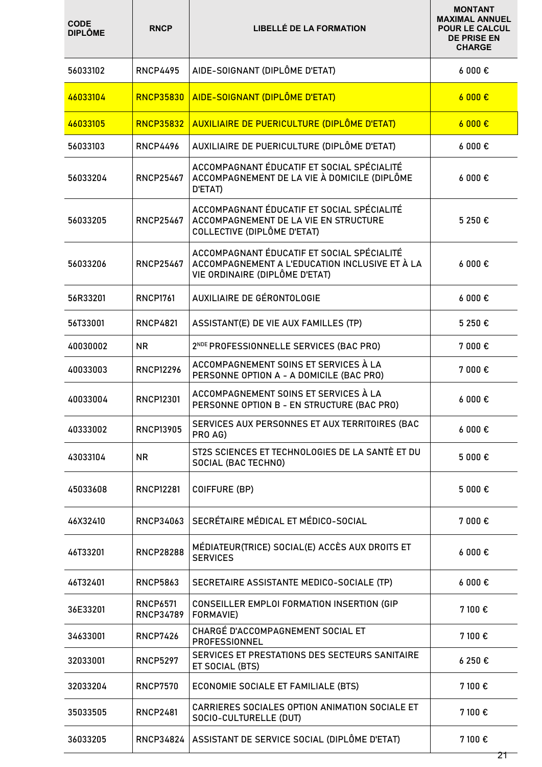| <b>CODE</b><br><b>DIPLÔME</b> | <b>RNCP</b>                         | <b>LIBELLÉ DE LA FORMATION</b>                                                                                                 | <b>MONTANT</b><br><b>MAXIMAL ANNUEL</b><br><b>POUR LE CALCUL</b><br><b>DE PRISE EN</b><br><b>CHARGE</b> |
|-------------------------------|-------------------------------------|--------------------------------------------------------------------------------------------------------------------------------|---------------------------------------------------------------------------------------------------------|
| 56033102                      | <b>RNCP4495</b>                     | AIDE-SOIGNANT (DIPLÔME D'ETAT)                                                                                                 | $6000 \text{ } \in$                                                                                     |
| 46033104                      | <b>RNCP35830</b>                    | AIDE-SOIGNANT (DIPLÔME D'ETAT)                                                                                                 | 6000E                                                                                                   |
| 46033105                      | <b>RNCP35832</b>                    | AUXILIAIRE DE PUERICULTURE (DIPLÔME D'ETAT)                                                                                    | 6000E                                                                                                   |
| 56033103                      | <b>RNCP4496</b>                     | AUXILIAIRE DE PUERICULTURE (DIPLÔME D'ETAT)                                                                                    | 6000E                                                                                                   |
| 56033204                      | <b>RNCP25467</b>                    | ACCOMPAGNANT ÉDUCATIF ET SOCIAL SPÉCIALITÉ<br>ACCOMPAGNEMENT DE LA VIE À DOMICILE (DIPLÔME<br>D'ETAT)                          | $6000 \text{ } \in$                                                                                     |
| 56033205                      | <b>RNCP25467</b>                    | ACCOMPAGNANT ÉDUCATIF ET SOCIAL SPÉCIALITÉ<br>ACCOMPAGNEMENT DE LA VIE EN STRUCTURE<br>COLLECTIVE (DIPLÔME D'ETAT)             | 5 250 €                                                                                                 |
| 56033206                      | <b>RNCP25467</b>                    | ACCOMPAGNANT ÉDUCATIF ET SOCIAL SPÉCIALITÉ<br>ACCOMPAGNEMENT A L'EDUCATION INCLUSIVE ET À LA<br>VIE ORDINAIRE (DIPLÔME D'ETAT) | $6000 \text{ } \in$                                                                                     |
| 56R33201                      | <b>RNCP1761</b>                     | <b>AUXILIAIRE DE GÉRONTOLOGIE</b>                                                                                              | $6000 \text{ } \in$                                                                                     |
| 56T33001                      | <b>RNCP4821</b>                     | ASSISTANT(E) DE VIE AUX FAMILLES (TP)                                                                                          | 5 250 €                                                                                                 |
| 40030002                      | NR.                                 | 2 <sup>NDE</sup> PROFESSIONNELLE SERVICES (BAC PRO)                                                                            | 7 000€                                                                                                  |
| 40033003                      | <b>RNCP12296</b>                    | ACCOMPAGNEMENT SOINS ET SERVICES À LA<br>PERSONNE OPTION A - A DOMICILE (BAC PRO)                                              | 7 000€                                                                                                  |
| 40033004                      | <b>RNCP12301</b>                    | ACCOMPAGNEMENT SOINS ET SERVICES À LA<br>PERSONNE OPTION B - EN STRUCTURE (BAC PRO)                                            | $6000 \text{ } \in$                                                                                     |
| 40333002                      | <b>RNCP13905</b>                    | SERVICES AUX PERSONNES ET AUX TERRITOIRES (BAC<br>PRO AG)                                                                      | $6000 \text{ } \epsilon$                                                                                |
| 43033104                      | NR                                  | ST2S SCIENCES ET TECHNOLOGIES DE LA SANTÈ ET DU<br>SOCIAL (BAC TECHNO)                                                         | 5 000 €                                                                                                 |
| 45033608                      | <b>RNCP12281</b>                    | <b>COIFFURE (BP)</b>                                                                                                           | 5 000 €                                                                                                 |
| 46X32410                      | RNCP34063                           | SECRÉTAIRE MÉDICAL ET MÉDICO-SOCIAL                                                                                            | 7 000€                                                                                                  |
| 46T33201                      | <b>RNCP28288</b>                    | MÉDIATEUR(TRICE) SOCIAL(E) ACCÈS AUX DROITS ET<br><b>SERVICES</b>                                                              | $6000 \text{ } \in$                                                                                     |
| 46T32401                      | <b>RNCP5863</b>                     | SECRETAIRE ASSISTANTE MEDICO-SOCIALE (TP)                                                                                      | $6000 \text{ } \epsilon$                                                                                |
| 36E33201                      | <b>RNCP6571</b><br><b>RNCP34789</b> | CONSEILLER EMPLOI FORMATION INSERTION (GIP<br>FORMAVIE)                                                                        | 7 100 €                                                                                                 |
| 34633001                      | <b>RNCP7426</b>                     | CHARGÉ D'ACCOMPAGNEMENT SOCIAL ET<br>PROFESSIONNEL                                                                             | 7 100 €                                                                                                 |
| 32033001                      | <b>RNCP5297</b>                     | SERVICES ET PRESTATIONS DES SECTEURS SANITAIRE<br>ET SOCIAL (BTS)                                                              | 6250€                                                                                                   |
| 32033204                      | <b>RNCP7570</b>                     | ECONOMIE SOCIALE ET FAMILIALE (BTS)                                                                                            | 7 100 €                                                                                                 |
| 35033505                      | <b>RNCP2481</b>                     | CARRIERES SOCIALES OPTION ANIMATION SOCIALE ET<br>SOCIO-CULTURELLE (DUT)                                                       | 7 100 €                                                                                                 |
| 36033205                      | RNCP34824                           | ASSISTANT DE SERVICE SOCIAL (DIPLÔME D'ETAT)                                                                                   | 7 100 €<br>21                                                                                           |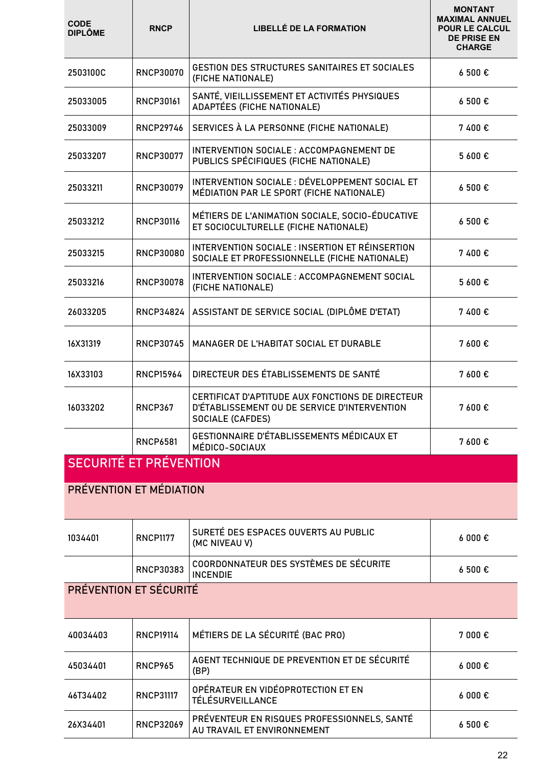| <b>CODE</b><br><b>DIPLÔME</b> | <b>RNCP</b>      | <b>LIBELLÉ DE LA FORMATION</b>                                                                                              | <b>MONTANT</b><br><b>MAXIMAL ANNUEL</b><br><b>POUR LE CALCUL</b><br><b>DE PRISE EN</b><br><b>CHARGE</b> |
|-------------------------------|------------------|-----------------------------------------------------------------------------------------------------------------------------|---------------------------------------------------------------------------------------------------------|
| 2503100C                      | <b>RNCP30070</b> | GESTION DES STRUCTURES SANITAIRES ET SOCIALES<br>(FICHE NATIONALE)                                                          | 6 500€                                                                                                  |
| 25033005                      | <b>RNCP30161</b> | SANTÉ, VIEILLISSEMENT ET ACTIVITÉS PHYSIQUES<br>ADAPTÉES (FICHE NATIONALE)                                                  | 6 500€                                                                                                  |
| 25033009                      | <b>RNCP29746</b> | SERVICES À LA PERSONNE (FICHE NATIONALE)                                                                                    | 7400€                                                                                                   |
| 25033207                      | <b>RNCP30077</b> | INTERVENTION SOCIALE: ACCOMPAGNEMENT DE<br>PUBLICS SPÉCIFIQUES (FICHE NATIONALE)                                            | 5 600€                                                                                                  |
| 25033211                      | <b>RNCP30079</b> | INTERVENTION SOCIALE : DÉVELOPPEMENT SOCIAL ET<br>MÉDIATION PAR LE SPORT (FICHE NATIONALE)                                  | 6 500€                                                                                                  |
| 25033212                      | <b>RNCP30116</b> | MÉTIERS DE L'ANIMATION SOCIALE, SOCIO-ÉDUCATIVE<br>ET SOCIOCULTURELLE (FICHE NATIONALE)                                     | 6 500€                                                                                                  |
| 25033215                      | <b>RNCP30080</b> | INTERVENTION SOCIALE : INSERTION ET RÉINSERTION<br>SOCIALE ET PROFESSIONNELLE (FICHE NATIONALE)                             | 7400€                                                                                                   |
| 25033216                      | <b>RNCP30078</b> | INTERVENTION SOCIALE: ACCOMPAGNEMENT SOCIAL<br>(FICHE NATIONALE)                                                            | 5 600€                                                                                                  |
| 26033205                      | <b>RNCP34824</b> | ASSISTANT DE SERVICE SOCIAL (DIPLÔME D'ETAT)                                                                                | 7400€                                                                                                   |
| 16X31319                      | <b>RNCP30745</b> | MANAGER DE L'HABITAT SOCIAL ET DURABLE                                                                                      | 7 600€                                                                                                  |
| 16X33103                      | <b>RNCP15964</b> | DIRECTEUR DES ÉTABLISSEMENTS DE SANTÉ                                                                                       | 7 600€                                                                                                  |
| 16033202                      | <b>RNCP367</b>   | CERTIFICAT D'APTITUDE AUX FONCTIONS DE DIRECTEUR<br>D'ÉTABLISSEMENT OU DE SERVICE D'INTERVENTION<br><b>SOCIALE (CAFDES)</b> | 7 600€                                                                                                  |
|                               | <b>RNCP6581</b>  | GESTIONNAIRE D'ÉTABLISSEMENTS MÉDICAUX ET<br>MÉDICO-SOCIAUX                                                                 | 7 600€                                                                                                  |
| <b>SECURITÉ ET PRÉVENTION</b> |                  |                                                                                                                             |                                                                                                         |
| PRÉVENTION ET MÉDIATION       |                  |                                                                                                                             |                                                                                                         |
| 1034401                       | <b>RNCP1177</b>  | SURETÉ DES ESPACES OUVERTS AU PUBLIC<br>(MC NIVEAU V)                                                                       | $6000 \text{ } \in$                                                                                     |
|                               | <b>RNCP30383</b> | COORDONNATEUR DES SYSTÈMES DE SÉCURITE<br><b>INCENDIE</b>                                                                   | 6500€                                                                                                   |
| PRÉVENTION ET SÉCURITÉ        |                  |                                                                                                                             |                                                                                                         |
| 40034403                      | <b>RNCP19114</b> | MÉTIERS DE LA SÉCURITÉ (BAC PRO)                                                                                            | 7 000€                                                                                                  |
| 45034401                      | <b>RNCP965</b>   | AGENT TECHNIQUE DE PREVENTION ET DE SÉCURITÉ<br>(BP)                                                                        | $6000 \text{ } \in$                                                                                     |
| 46T34402                      | <b>RNCP31117</b> | OPÉRATEUR EN VIDÉOPROTECTION ET EN<br><b>TÉLÉSURVEILLANCE</b>                                                               | $6000 \text{ } \in$                                                                                     |
| 26X34401                      | <b>RNCP32069</b> | PRÉVENTEUR EN RISQUES PROFESSIONNELS, SANTÉ<br>AU TRAVAIL ET ENVIRONNEMENT                                                  | 6 500€                                                                                                  |